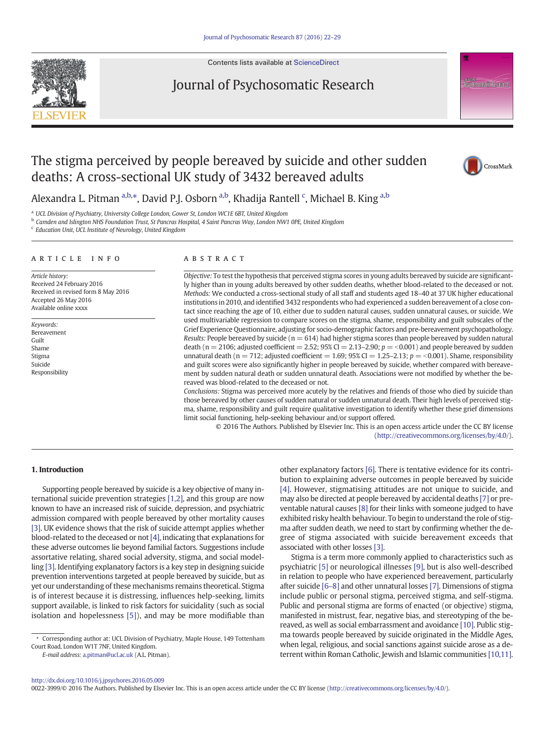

Contents lists available at [ScienceDirect](http://www.sciencedirect.com/science/journal/)

## Journal of Psychosomatic Research



# The stigma perceived by people bereaved by suicide and other sudden deaths: A cross-sectional UK study of 3432 bereaved adults



### Alexandra L. Pitman <sup>a,b,\*</sup>, David P.J. Osborn <sup>a,b</sup>, Khadija Rantell <sup>c</sup>, Michael B. King <sup>a,b</sup>

<sup>a</sup> UCL Division of Psychiatry, University College London, Gower St, London WC1E 6BT, United Kingdom

<sup>b</sup> Camden and Islington NHS Foundation Trust, St Pancras Hospital, 4 Saint Pancras Way, London NW1 0PE, United Kingdom

<sup>c</sup> Education Unit, UCL Institute of Neurology, United Kingdom

#### article info abstract

Article history: Received 24 February 2016 Received in revised form 8 May 2016 Accepted 26 May 2016 Available online xxxx

Keywords: Bereavement Guilt Shame Stigma Suicide Responsibility

Objective: To test the hypothesis that perceived stigma scores in young adults bereaved by suicide are significantly higher than in young adults bereaved by other sudden deaths, whether blood-related to the deceased or not. Methods: We conducted a cross-sectional study of all staff and students aged 18–40 at 37 UK higher educational institutions in 2010, and identified 3432 respondents who had experienced a sudden bereavement of a close contact since reaching the age of 10, either due to sudden natural causes, sudden unnatural causes, or suicide. We used multivariable regression to compare scores on the stigma, shame, responsibility and guilt subscales of the Grief Experience Questionnaire, adjusting for socio-demographic factors and pre-bereavement psychopathology. Results: People bereaved by suicide ( $n = 614$ ) had higher stigma scores than people bereaved by sudden natural death (n = 2106; adjusted coefficient = 2.52;  $95\%$  CI = 2.13–2.90;  $p = 0.001$ ) and people bereaved by sudden unnatural death (n = 712; adjusted coefficient = 1.69;  $95\%$  CI = 1.25-2.13;  $p = 0.001$ ). Shame, responsibility and guilt scores were also significantly higher in people bereaved by suicide, whether compared with bereavement by sudden natural death or sudden unnatural death. Associations were not modified by whether the bereaved was blood-related to the deceased or not.

Conclusions: Stigma was perceived more acutely by the relatives and friends of those who died by suicide than those bereaved by other causes of sudden natural or sudden unnatural death. Their high levels of perceived stigma, shame, responsibility and guilt require qualitative investigation to identify whether these grief dimensions limit social functioning, help-seeking behaviour and/or support offered.

© 2016 The Authors. Published by Elsevier Inc. This is an open access article under the CC BY license [\(http://creativecommons.org/licenses/by/4.0/](http://creativecommons.org/licenses/by/4.0/)).

### 1. Introduction

Supporting people bereaved by suicide is a key objective of many international suicide prevention strategies [\[1,2\],](#page-7-0) and this group are now known to have an increased risk of suicide, depression, and psychiatric admission compared with people bereaved by other mortality causes [\[3\].](#page-7-0) UK evidence shows that the risk of suicide attempt applies whether blood-related to the deceased or not [\[4\],](#page-7-0) indicating that explanations for these adverse outcomes lie beyond familial factors. Suggestions include assortative relating, shared social adversity, stigma, and social modelling [\[3\].](#page-7-0) Identifying explanatory factors is a key step in designing suicide prevention interventions targeted at people bereaved by suicide, but as yet our understanding of these mechanisms remains theoretical. Stigma is of interest because it is distressing, influences help-seeking, limits support available, is linked to risk factors for suicidality (such as social isolation and hopelessness [\[5\]\)](#page-7-0), and may be more modifiable than

E-mail address: [a.pitman@ucl.ac.uk](mailto:a.pitman@ucl.ac.uk) (A.L. Pitman).

other explanatory factors [\[6\].](#page-7-0) There is tentative evidence for its contribution to explaining adverse outcomes in people bereaved by suicide [\[4\]](#page-7-0). However, stigmatising attitudes are not unique to suicide, and may also be directed at people bereaved by accidental deaths [\[7\]](#page-7-0) or preventable natural causes [\[8\]](#page-7-0) for their links with someone judged to have exhibited risky health behaviour. To begin to understand the role of stigma after sudden death, we need to start by confirming whether the degree of stigma associated with suicide bereavement exceeds that associated with other losses [\[3\].](#page-7-0)

Stigma is a term more commonly applied to characteristics such as psychiatric [\[5\]](#page-7-0) or neurological illnesses [\[9\],](#page-7-0) but is also well-described in relation to people who have experienced bereavement, particularly after suicide [\[6](#page-7-0)–8] and other unnatural losses [\[7\].](#page-7-0) Dimensions of stigma include public or personal stigma, perceived stigma, and self-stigma. Public and personal stigma are forms of enacted (or objective) stigma, manifested in mistrust, fear, negative bias, and stereotyping of the bereaved, as well as social embarrassment and avoidance [\[10\]](#page-7-0). Public stigma towards people bereaved by suicide originated in the Middle Ages, when legal, religious, and social sanctions against suicide arose as a deterrent within Roman Catholic, Jewish and Islamic communities [\[10,11\].](#page-7-0)

0022-3999/© 2016 The Authors. Published by Elsevier Inc. This is an open access article under the CC BY license (<http://creativecommons.org/licenses/by/4.0/>).

<sup>⁎</sup> Corresponding author at: UCL Division of Psychiatry, Maple House, 149 Tottenham Court Road, London W1T 7NF, United Kingdom.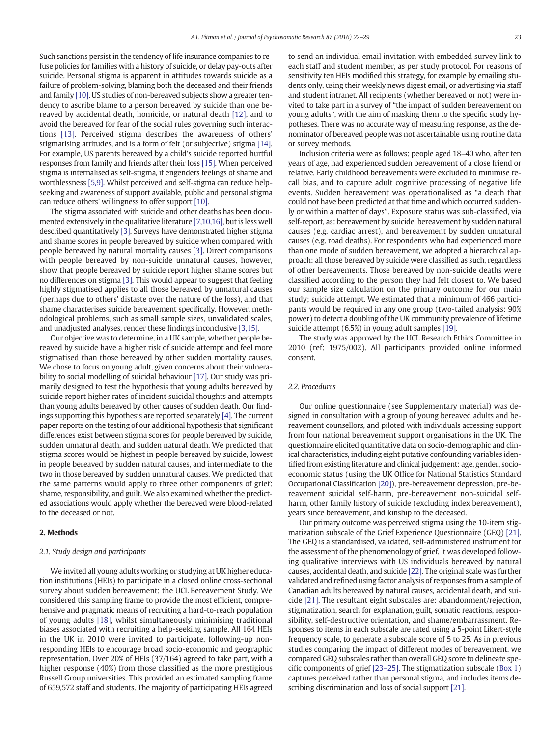Such sanctions persist in the tendency of life insurance companies to refuse policies for families with a history of suicide, or delay pay-outs after suicide. Personal stigma is apparent in attitudes towards suicide as a failure of problem-solving, blaming both the deceased and their friends and family [\[10\]](#page-7-0). US studies of non-bereaved subjects show a greater tendency to ascribe blame to a person bereaved by suicide than one bereaved by accidental death, homicide, or natural death [\[12\],](#page-7-0) and to avoid the bereaved for fear of the social rules governing such interactions [\[13\].](#page-7-0) Perceived stigma describes the awareness of others' stigmatising attitudes, and is a form of felt (or subjective) stigma [\[14\].](#page-7-0) For example, US parents bereaved by a child's suicide reported hurtful responses from family and friends after their loss [\[15\].](#page-7-0) When perceived stigma is internalised as self-stigma, it engenders feelings of shame and worthlessness [\[5,9\]](#page-7-0). Whilst perceived and self-stigma can reduce helpseeking and awareness of support available, public and personal stigma can reduce others' willingness to offer support [\[10\].](#page-7-0)

The stigma associated with suicide and other deaths has been documented extensively in the qualitative literature [\[7,10,16\],](#page-7-0) but is less well described quantitatively [\[3\]](#page-7-0). Surveys have demonstrated higher stigma and shame scores in people bereaved by suicide when compared with people bereaved by natural mortality causes [\[3\]](#page-7-0). Direct comparisons with people bereaved by non-suicide unnatural causes, however, show that people bereaved by suicide report higher shame scores but no differences on stigma [\[3\]](#page-7-0). This would appear to suggest that feeling highly stigmatised applies to all those bereaved by unnatural causes (perhaps due to others' distaste over the nature of the loss), and that shame characterises suicide bereavement specifically. However, methodological problems, such as small sample sizes, unvalidated scales, and unadjusted analyses, render these findings inconclusive [\[3,15\].](#page-7-0)

Our objective was to determine, in a UK sample, whether people bereaved by suicide have a higher risk of suicide attempt and feel more stigmatised than those bereaved by other sudden mortality causes. We chose to focus on young adult, given concerns about their vulnerability to social modelling of suicidal behaviour [\[17\].](#page-7-0) Our study was primarily designed to test the hypothesis that young adults bereaved by suicide report higher rates of incident suicidal thoughts and attempts than young adults bereaved by other causes of sudden death. Our findings supporting this hypothesis are reported separately [\[4\].](#page-7-0) The current paper reports on the testing of our additional hypothesis that significant differences exist between stigma scores for people bereaved by suicide, sudden unnatural death, and sudden natural death. We predicted that stigma scores would be highest in people bereaved by suicide, lowest in people bereaved by sudden natural causes, and intermediate to the two in those bereaved by sudden unnatural causes. We predicted that the same patterns would apply to three other components of grief: shame, responsibility, and guilt. We also examined whether the predicted associations would apply whether the bereaved were blood-related to the deceased or not.

#### 2. Methods

#### 2.1. Study design and participants

We invited all young adults working or studying at UK higher education institutions (HEIs) to participate in a closed online cross-sectional survey about sudden bereavement: the UCL Bereavement Study. We considered this sampling frame to provide the most efficient, comprehensive and pragmatic means of recruiting a hard-to-reach population of young adults [\[18\],](#page-7-0) whilst simultaneously minimising traditional biases associated with recruiting a help-seeking sample. All 164 HEIs in the UK in 2010 were invited to participate, following-up nonresponding HEIs to encourage broad socio-economic and geographic representation. Over 20% of HEIs (37/164) agreed to take part, with a higher response (40%) from those classified as the more prestigious Russell Group universities. This provided an estimated sampling frame of 659,572 staff and students. The majority of participating HEIs agreed to send an individual email invitation with embedded survey link to each staff and student member, as per study protocol. For reasons of sensitivity ten HEIs modified this strategy, for example by emailing students only, using their weekly news digest email, or advertising via staff and student intranet. All recipients (whether bereaved or not) were invited to take part in a survey of "the impact of sudden bereavement on young adults", with the aim of masking them to the specific study hypotheses. There was no accurate way of measuring response, as the denominator of bereaved people was not ascertainable using routine data or survey methods.

Inclusion criteria were as follows: people aged 18–40 who, after ten years of age, had experienced sudden bereavement of a close friend or relative. Early childhood bereavements were excluded to minimise recall bias, and to capture adult cognitive processing of negative life events. Sudden bereavement was operationalised as "a death that could not have been predicted at that time and which occurred suddenly or within a matter of days". Exposure status was sub-classified, via self-report, as: bereavement by suicide, bereavement by sudden natural causes (e.g. cardiac arrest), and bereavement by sudden unnatural causes (e.g. road deaths). For respondents who had experienced more than one mode of sudden bereavement, we adopted a hierarchical approach: all those bereaved by suicide were classified as such, regardless of other bereavements. Those bereaved by non-suicide deaths were classified according to the person they had felt closest to. We based our sample size calculation on the primary outcome for our main study; suicide attempt. We estimated that a minimum of 466 participants would be required in any one group (two-tailed analysis; 90% power) to detect a doubling of the UK community prevalence of lifetime suicide attempt (6.5%) in young adult samples [\[19\]](#page-7-0).

The study was approved by the UCL Research Ethics Committee in 2010 (ref: 1975/002). All participants provided online informed consent.

#### 2.2. Procedures

Our online questionnaire (see Supplementary material) was designed in consultation with a group of young bereaved adults and bereavement counsellors, and piloted with individuals accessing support from four national bereavement support organisations in the UK. The questionnaire elicited quantitative data on socio-demographic and clinical characteristics, including eight putative confounding variables identified from existing literature and clinical judgement: age, gender, socioeconomic status (using the UK Office for National Statistics Standard Occupational Classification [\[20\]\)](#page-7-0), pre-bereavement depression, pre-bereavement suicidal self-harm, pre-bereavement non-suicidal selfharm, other family history of suicide (excluding index bereavement), years since bereavement, and kinship to the deceased.

Our primary outcome was perceived stigma using the 10-item stigmatization subscale of the Grief Experience Questionnaire (GEQ) [\[21\].](#page-7-0) The GEQ is a standardised, validated, self-administered instrument for the assessment of the phenomenology of grief. It was developed following qualitative interviews with US individuals bereaved by natural causes, accidental death, and suicide [\[22\]](#page-7-0). The original scale was further validated and refined using factor analysis of responses from a sample of Canadian adults bereaved by natural causes, accidental death, and suicide [\[21\].](#page-7-0) The resultant eight subscales are: abandonment/rejection, stigmatization, search for explanation, guilt, somatic reactions, responsibility, self-destructive orientation, and shame/embarrassment. Responses to items in each subscale are rated using a 5-point Likert-style frequency scale, to generate a subscale score of 5 to 25. As in previous studies comparing the impact of different modes of bereavement, we compared GEQ subscales rather than overall GEQ score to delineate specific components of grief [\[23](#page-7-0)–25]. The stigmatization subscale [\(Box 1](#page-2-0)) captures perceived rather than personal stigma, and includes items describing discrimination and loss of social support [\[21\].](#page-7-0)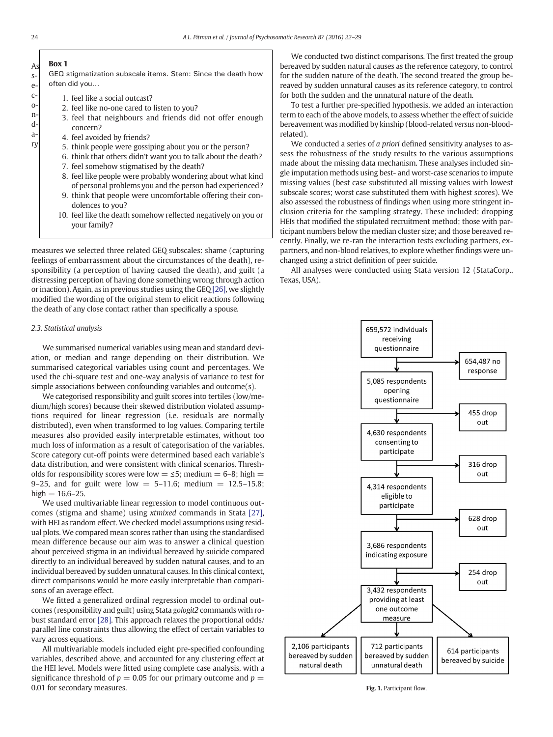<span id="page-2-0"></span>As

condary

#### Box 1

se-GEQ stigmatization subscale items. Stem: Since the death how often did you…

- 1. feel like a social outcast?
- 2. feel like no-one cared to listen to you?
- 3. feel that neighbours and friends did not offer enough concern?
- 4. feel avoided by friends?
	- 5. think people were gossiping about you or the person?
	- 6. think that others didn't want you to talk about the death?
	- 7. feel somehow stigmatised by the death?
	- 8. feel like people were probably wondering about what kind of personal problems you and the person had experienced?
	- 9. think that people were uncomfortable offering their condolences to you?
	- 10. feel like the death somehow reflected negatively on you or your family?

measures we selected three related GEQ subscales: shame (capturing feelings of embarrassment about the circumstances of the death), responsibility (a perception of having caused the death), and guilt (a distressing perception of having done something wrong through action or inaction). Again, as in previous studies using the GEQ [\[26\]](#page-7-0), we slightly modified the wording of the original stem to elicit reactions following the death of any close contact rather than specifically a spouse.

#### 2.3. Statistical analysis

We summarised numerical variables using mean and standard deviation, or median and range depending on their distribution. We summarised categorical variables using count and percentages. We used the chi-square test and one-way analysis of variance to test for simple associations between confounding variables and outcome(s).

We categorised responsibility and guilt scores into tertiles (low/medium/high scores) because their skewed distribution violated assumptions required for linear regression (i.e. residuals are normally distributed), even when transformed to log values. Comparing tertile measures also provided easily interpretable estimates, without too much loss of information as a result of categorisation of the variables. Score category cut-off points were determined based each variable's data distribution, and were consistent with clinical scenarios. Thresholds for responsibility scores were low  $=$   $\leq$  5; medium  $=$  6–8; high  $=$ 9–25, and for guilt were low  $= 5-11.6$ ; medium  $= 12.5-15.8$ ; high  $= 16.6 - 25$ .

We used multivariable linear regression to model continuous outcomes (stigma and shame) using xtmixed commands in Stata [\[27\],](#page-7-0) with HEI as random effect. We checked model assumptions using residual plots. We compared mean scores rather than using the standardised mean difference because our aim was to answer a clinical question about perceived stigma in an individual bereaved by suicide compared directly to an individual bereaved by sudden natural causes, and to an individual bereaved by sudden unnatural causes. In this clinical context, direct comparisons would be more easily interpretable than comparisons of an average effect.

We fitted a generalized ordinal regression model to ordinal outcomes (responsibility and guilt) using Stata gologit2 commands with robust standard error [\[28\].](#page-7-0) This approach relaxes the proportional odds/ parallel line constraints thus allowing the effect of certain variables to vary across equations.

All multivariable models included eight pre-specified confounding variables, described above, and accounted for any clustering effect at the HEI level. Models were fitted using complete case analysis, with a significance threshold of  $p = 0.05$  for our primary outcome and  $p =$ 0.01 for secondary measures.

We conducted two distinct comparisons. The first treated the group bereaved by sudden natural causes as the reference category, to control for the sudden nature of the death. The second treated the group bereaved by sudden unnatural causes as its reference category, to control for both the sudden and the unnatural nature of the death.

To test a further pre-specified hypothesis, we added an interaction term to each of the above models, to assess whether the effect of suicide bereavement was modified by kinship (blood-related versus non-bloodrelated).

We conducted a series of a priori defined sensitivity analyses to assess the robustness of the study results to the various assumptions made about the missing data mechanism. These analyses included single imputation methods using best- and worst-case scenarios to impute missing values (best case substituted all missing values with lowest subscale scores; worst case substituted them with highest scores). We also assessed the robustness of findings when using more stringent inclusion criteria for the sampling strategy. These included: dropping HEIs that modified the stipulated recruitment method; those with participant numbers below the median cluster size; and those bereaved recently. Finally, we re-ran the interaction tests excluding partners, expartners, and non-blood relatives, to explore whether findings were unchanged using a strict definition of peer suicide.

All analyses were conducted using Stata version 12 (StataCorp., Texas, USA).



Fig. 1. Participant flow.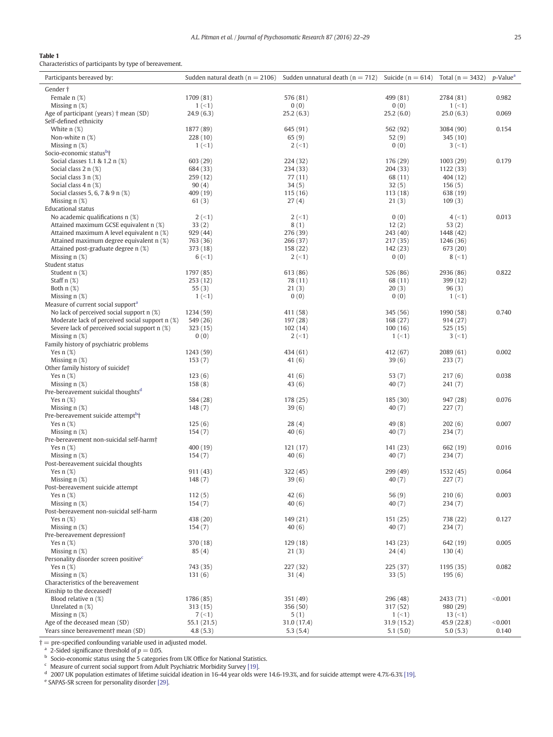#### <span id="page-3-0"></span>Table 1

Characteristics of participants by type of bereavement.

| Gender †<br>Female $n$ $(\%)$<br>1709 (81)<br>576 (81)<br>499 (81)<br>2784 (81)<br>0.982<br>0(0)<br>0(0)<br>Missing $n$ $(\%)$<br>$1(-1)$<br>$1(-1)$<br>Age of participant (years) $\dagger$ mean (SD)<br>25.2(6.3)<br>0.069<br>24.9(6.3)<br>25.2(6.0)<br>25.0(6.3)<br>Self-defined ethnicity<br>0.154<br>White $n$ $(\%)$<br>1877 (89)<br>645 (91)<br>562 (92)<br>3084 (90)<br>Non-white $n$ $(\%)$<br>228 (10)<br>65(9)<br>52(9)<br>345 (10)<br>Missing $n$ $(\%)$<br>0(0)<br>$1(-1)$<br>$2(-1)$<br>$3(-1)$<br>Socio-economic status <sup>b</sup> †<br>Social classes 1.1 & 1.2 n (%)<br>603 (29)<br>1003(29)<br>0.179<br>224 (32)<br>176 (29)<br>234 (33)<br>Social class $2 \text{ n } (\%)$<br>684 (33)<br>204 (33)<br>1122 (33)<br>77(11)<br>68 (11)<br>Social class $3 \n  n \n  (%)$<br>259 (12)<br>404 (12)<br>Social class 4 n (%)<br>34(5)<br>32(5)<br>156(5)<br>90(4)<br>Social classes 5, 6, 7 & 9 n (%)<br>409 (19)<br>638 (19)<br>115(16)<br>113 (18)<br>Missing $n$ $(\%)$<br>21(3)<br>109(3)<br>61(3)<br>27(4)<br><b>Educational status</b><br>0.013<br>No academic qualifications $n$ (%)<br>0(0)<br>$2 (-1)$<br>$2(-1)$<br>$4 (-1)$<br>Attained maximum GCSE equivalent n (%)<br>33(2)<br>8(1)<br>12(2)<br>53(2)<br>Attained maximum A level equivalent n (%)<br>929 (44)<br>276 (39)<br>243 (40)<br>1448 (42)<br>Attained maximum degree equivalent n (%)<br>763 (36)<br>266 (37)<br>217 (35)<br>1246 (36)<br>Attained post-graduate degree n (%)<br>373 (18)<br>158 (22)<br>673 (20)<br>142 (23)<br>Missing $n$ $(\%)$<br>$6(-1)$<br>0(0)<br>$2(-1)$<br>$8(-1)$<br>Student status<br>0.822<br>1797 (85)<br>2936 (86)<br>Student $n$ $(\%)$<br>613 (86)<br>526 (86)<br>253(12)<br>78 (11)<br>68 (11)<br>399 (12)<br>Staff $n$ $(\%)$<br>55(3)<br>21(3)<br>20(3)<br>96(3)<br>Both $n$ $(\%)$<br>0(0)<br>0(0)<br>Missing $n$ $(\%)$<br>$1(-1)$<br>$1(-1)$<br>Measure of current social support <sup>a</sup><br>No lack of perceived social support n (%)<br>1990 (58)<br>0.740<br>1234 (59)<br>411 (58)<br>345 (56)<br>Moderate lack of perceived social support n (%)<br>549 (26)<br>197 (28)<br>168 (27)<br>914 (27)<br>Severe lack of perceived social support n (%)<br>102(14)<br>100(16)<br>323 (15)<br>525 (15)<br>0(0)<br>$2(-1)$<br>Missing $n$ $(\%)$<br>$1(-1)$<br>$3(-1)$<br>Family history of psychiatric problems<br>0.002<br>Yes $n$ $(\%)$<br>2089 (61)<br>1243 (59)<br>434 (61)<br>412 (67)<br>Missing $n$ $(\%)$<br>39(6)<br>233(7)<br>153(7)<br>41(6)<br>Other family history of suicide†<br>Yes $n$ $(\%)$<br>0.038<br>123(6)<br>41(6)<br>53(7)<br>217(6)<br>Missing $n$ $(\%)$<br>43(6)<br>40(7)<br>158(8)<br>241(7)<br>Pre-bereavement suicidal thoughts <sup>d</sup><br>Yes $n$ $(\%)$<br>0.076<br>584 (28)<br>178 (25)<br>185 (30)<br>947 (28)<br>Missing $n$ $(\%)$<br>148 (7)<br>39(6)<br>40(7)<br>227(7)<br>Pre-bereavement suicide attempt <sup>b</sup> <sup>†</sup><br>Yes $n$ $(\%)$<br>125(6)<br>49 (8)<br>202(6)<br>0.007<br>28(4)<br>Missing $n$ $(\%)$<br>154(7)<br>40(6)<br>40(7)<br>234(7)<br>Pre-bereavement non-suicidal self-harm†<br>400 (19)<br>0.016<br>Yes $n$ $(\%)$<br>121(17)<br>141 (23)<br>662 (19)<br>Missing $n$ $(\%)$<br>40(7)<br>154(7)<br>40(6)<br>234(7)<br>Post-bereavement suicidal thoughts<br>Yes $n$ $(\%)$<br>322 (45)<br>299 (49)<br>1532 (45)<br>0.064<br>911 (43)<br>Missing $n$ $(\%)$<br>39(6)<br>40 (7)<br>227(7)<br>148(7)<br>Post-bereavement suicide attempt<br>0.003<br>Yes $n$ $(\%)$<br>112(5)<br>42(6)<br>56 $(9)$<br>210(6)<br>Missing $n$ $(\%)$<br>154(7)<br>40(6)<br>40(7)<br>234(7)<br>Post-bereavement non-suicidal self-harm<br>Yes $n$ $(\%)$<br>438 (20)<br>149 (21)<br>738 (22)<br>0.127<br>151(25)<br>Missing $n$ $(\%)$<br>154(7)<br>40(6)<br>40(7)<br>234(7)<br>Pre-bereavement depression†<br>0.005<br>Yes $n$ $(\%)$<br>370 (18)<br>129(18)<br>143 (23)<br>642 (19)<br>Missing $n$ $(\%)$<br>85(4)<br>21(3)<br>24(4)<br>130(4)<br>Personality disorder screen positive <sup>c</sup><br>Yes $n$ $(\%)$<br>0.082<br>743 (35)<br>227 (32)<br>225(37)<br>1195 (35)<br>Missing $n$ $(\%)$<br>31(4)<br>33(5)<br>195(6)<br>131(6)<br>Characteristics of the bereavement<br>Kinship to the deceased†<br>Blood relative n (%)<br>1786 (85)<br>2433 (71)<br>< 0.001<br>351 (49)<br>296 (48)<br>Unrelated n (%)<br>313(15)<br>356 (50)<br>317 (52)<br>980 (29)<br>Missing $n$ $(\%)$<br>$7(-1)$<br>5(1)<br>$1(-1)$<br>$13 \ (-1)$<br>Age of the deceased mean (SD)<br>55.1 (21.5)<br>31.0 (17.4)<br>31.9(15.2)<br>45.9 (22.8)<br>< 0.001<br>Years since bereavement† mean (SD)<br>0.140<br>4.8(5.3)<br>5.3(5.4)<br>5.1(5.0)<br>5.0(5.3) | Participants bereaved by: | Sudden natural death ( $n = 2106$ ) Sudden unnatural death ( $n = 712$ ) Suicide ( $n = 614$ ) Total ( $n = 3432$ ) |  | <i>p</i> -Value <sup>a</sup> |
|----------------------------------------------------------------------------------------------------------------------------------------------------------------------------------------------------------------------------------------------------------------------------------------------------------------------------------------------------------------------------------------------------------------------------------------------------------------------------------------------------------------------------------------------------------------------------------------------------------------------------------------------------------------------------------------------------------------------------------------------------------------------------------------------------------------------------------------------------------------------------------------------------------------------------------------------------------------------------------------------------------------------------------------------------------------------------------------------------------------------------------------------------------------------------------------------------------------------------------------------------------------------------------------------------------------------------------------------------------------------------------------------------------------------------------------------------------------------------------------------------------------------------------------------------------------------------------------------------------------------------------------------------------------------------------------------------------------------------------------------------------------------------------------------------------------------------------------------------------------------------------------------------------------------------------------------------------------------------------------------------------------------------------------------------------------------------------------------------------------------------------------------------------------------------------------------------------------------------------------------------------------------------------------------------------------------------------------------------------------------------------------------------------------------------------------------------------------------------------------------------------------------------------------------------------------------------------------------------------------------------------------------------------------------------------------------------------------------------------------------------------------------------------------------------------------------------------------------------------------------------------------------------------------------------------------------------------------------------------------------------------------------------------------------------------------------------------------------------------------------------------------------------------------------------------------------------------------------------------------------------------------------------------------------------------------------------------------------------------------------------------------------------------------------------------------------------------------------------------------------------------------------------------------------------------------------------------------------------------------------------------------------------------------------------------------------------------------------------------------------------------------------------------------------------------------------------------------------------------------------------------------------------------------------------------------------------------------------------------------------------------------------------------------------------------------------------------------------------------------------------------------------------------------------------------------------------------------------------------------------------------------------------------------------------------------------------------------------------------------------------------------------------------------------------------------------------------------------------------------------------------------------------------------------------------------------------------------------------------------------------------------|---------------------------|---------------------------------------------------------------------------------------------------------------------|--|------------------------------|
|                                                                                                                                                                                                                                                                                                                                                                                                                                                                                                                                                                                                                                                                                                                                                                                                                                                                                                                                                                                                                                                                                                                                                                                                                                                                                                                                                                                                                                                                                                                                                                                                                                                                                                                                                                                                                                                                                                                                                                                                                                                                                                                                                                                                                                                                                                                                                                                                                                                                                                                                                                                                                                                                                                                                                                                                                                                                                                                                                                                                                                                                                                                                                                                                                                                                                                                                                                                                                                                                                                                                                                                                                                                                                                                                                                                                                                                                                                                                                                                                                                                                                                                                                                                                                                                                                                                                                                                                                                                                                                                                                                                                                                        |                           |                                                                                                                     |  |                              |
|                                                                                                                                                                                                                                                                                                                                                                                                                                                                                                                                                                                                                                                                                                                                                                                                                                                                                                                                                                                                                                                                                                                                                                                                                                                                                                                                                                                                                                                                                                                                                                                                                                                                                                                                                                                                                                                                                                                                                                                                                                                                                                                                                                                                                                                                                                                                                                                                                                                                                                                                                                                                                                                                                                                                                                                                                                                                                                                                                                                                                                                                                                                                                                                                                                                                                                                                                                                                                                                                                                                                                                                                                                                                                                                                                                                                                                                                                                                                                                                                                                                                                                                                                                                                                                                                                                                                                                                                                                                                                                                                                                                                                                        |                           |                                                                                                                     |  |                              |
|                                                                                                                                                                                                                                                                                                                                                                                                                                                                                                                                                                                                                                                                                                                                                                                                                                                                                                                                                                                                                                                                                                                                                                                                                                                                                                                                                                                                                                                                                                                                                                                                                                                                                                                                                                                                                                                                                                                                                                                                                                                                                                                                                                                                                                                                                                                                                                                                                                                                                                                                                                                                                                                                                                                                                                                                                                                                                                                                                                                                                                                                                                                                                                                                                                                                                                                                                                                                                                                                                                                                                                                                                                                                                                                                                                                                                                                                                                                                                                                                                                                                                                                                                                                                                                                                                                                                                                                                                                                                                                                                                                                                                                        |                           |                                                                                                                     |  |                              |
|                                                                                                                                                                                                                                                                                                                                                                                                                                                                                                                                                                                                                                                                                                                                                                                                                                                                                                                                                                                                                                                                                                                                                                                                                                                                                                                                                                                                                                                                                                                                                                                                                                                                                                                                                                                                                                                                                                                                                                                                                                                                                                                                                                                                                                                                                                                                                                                                                                                                                                                                                                                                                                                                                                                                                                                                                                                                                                                                                                                                                                                                                                                                                                                                                                                                                                                                                                                                                                                                                                                                                                                                                                                                                                                                                                                                                                                                                                                                                                                                                                                                                                                                                                                                                                                                                                                                                                                                                                                                                                                                                                                                                                        |                           |                                                                                                                     |  |                              |
|                                                                                                                                                                                                                                                                                                                                                                                                                                                                                                                                                                                                                                                                                                                                                                                                                                                                                                                                                                                                                                                                                                                                                                                                                                                                                                                                                                                                                                                                                                                                                                                                                                                                                                                                                                                                                                                                                                                                                                                                                                                                                                                                                                                                                                                                                                                                                                                                                                                                                                                                                                                                                                                                                                                                                                                                                                                                                                                                                                                                                                                                                                                                                                                                                                                                                                                                                                                                                                                                                                                                                                                                                                                                                                                                                                                                                                                                                                                                                                                                                                                                                                                                                                                                                                                                                                                                                                                                                                                                                                                                                                                                                                        |                           |                                                                                                                     |  |                              |
|                                                                                                                                                                                                                                                                                                                                                                                                                                                                                                                                                                                                                                                                                                                                                                                                                                                                                                                                                                                                                                                                                                                                                                                                                                                                                                                                                                                                                                                                                                                                                                                                                                                                                                                                                                                                                                                                                                                                                                                                                                                                                                                                                                                                                                                                                                                                                                                                                                                                                                                                                                                                                                                                                                                                                                                                                                                                                                                                                                                                                                                                                                                                                                                                                                                                                                                                                                                                                                                                                                                                                                                                                                                                                                                                                                                                                                                                                                                                                                                                                                                                                                                                                                                                                                                                                                                                                                                                                                                                                                                                                                                                                                        |                           |                                                                                                                     |  |                              |
|                                                                                                                                                                                                                                                                                                                                                                                                                                                                                                                                                                                                                                                                                                                                                                                                                                                                                                                                                                                                                                                                                                                                                                                                                                                                                                                                                                                                                                                                                                                                                                                                                                                                                                                                                                                                                                                                                                                                                                                                                                                                                                                                                                                                                                                                                                                                                                                                                                                                                                                                                                                                                                                                                                                                                                                                                                                                                                                                                                                                                                                                                                                                                                                                                                                                                                                                                                                                                                                                                                                                                                                                                                                                                                                                                                                                                                                                                                                                                                                                                                                                                                                                                                                                                                                                                                                                                                                                                                                                                                                                                                                                                                        |                           |                                                                                                                     |  |                              |
|                                                                                                                                                                                                                                                                                                                                                                                                                                                                                                                                                                                                                                                                                                                                                                                                                                                                                                                                                                                                                                                                                                                                                                                                                                                                                                                                                                                                                                                                                                                                                                                                                                                                                                                                                                                                                                                                                                                                                                                                                                                                                                                                                                                                                                                                                                                                                                                                                                                                                                                                                                                                                                                                                                                                                                                                                                                                                                                                                                                                                                                                                                                                                                                                                                                                                                                                                                                                                                                                                                                                                                                                                                                                                                                                                                                                                                                                                                                                                                                                                                                                                                                                                                                                                                                                                                                                                                                                                                                                                                                                                                                                                                        |                           |                                                                                                                     |  |                              |
|                                                                                                                                                                                                                                                                                                                                                                                                                                                                                                                                                                                                                                                                                                                                                                                                                                                                                                                                                                                                                                                                                                                                                                                                                                                                                                                                                                                                                                                                                                                                                                                                                                                                                                                                                                                                                                                                                                                                                                                                                                                                                                                                                                                                                                                                                                                                                                                                                                                                                                                                                                                                                                                                                                                                                                                                                                                                                                                                                                                                                                                                                                                                                                                                                                                                                                                                                                                                                                                                                                                                                                                                                                                                                                                                                                                                                                                                                                                                                                                                                                                                                                                                                                                                                                                                                                                                                                                                                                                                                                                                                                                                                                        |                           |                                                                                                                     |  |                              |
|                                                                                                                                                                                                                                                                                                                                                                                                                                                                                                                                                                                                                                                                                                                                                                                                                                                                                                                                                                                                                                                                                                                                                                                                                                                                                                                                                                                                                                                                                                                                                                                                                                                                                                                                                                                                                                                                                                                                                                                                                                                                                                                                                                                                                                                                                                                                                                                                                                                                                                                                                                                                                                                                                                                                                                                                                                                                                                                                                                                                                                                                                                                                                                                                                                                                                                                                                                                                                                                                                                                                                                                                                                                                                                                                                                                                                                                                                                                                                                                                                                                                                                                                                                                                                                                                                                                                                                                                                                                                                                                                                                                                                                        |                           |                                                                                                                     |  |                              |
|                                                                                                                                                                                                                                                                                                                                                                                                                                                                                                                                                                                                                                                                                                                                                                                                                                                                                                                                                                                                                                                                                                                                                                                                                                                                                                                                                                                                                                                                                                                                                                                                                                                                                                                                                                                                                                                                                                                                                                                                                                                                                                                                                                                                                                                                                                                                                                                                                                                                                                                                                                                                                                                                                                                                                                                                                                                                                                                                                                                                                                                                                                                                                                                                                                                                                                                                                                                                                                                                                                                                                                                                                                                                                                                                                                                                                                                                                                                                                                                                                                                                                                                                                                                                                                                                                                                                                                                                                                                                                                                                                                                                                                        |                           |                                                                                                                     |  |                              |
|                                                                                                                                                                                                                                                                                                                                                                                                                                                                                                                                                                                                                                                                                                                                                                                                                                                                                                                                                                                                                                                                                                                                                                                                                                                                                                                                                                                                                                                                                                                                                                                                                                                                                                                                                                                                                                                                                                                                                                                                                                                                                                                                                                                                                                                                                                                                                                                                                                                                                                                                                                                                                                                                                                                                                                                                                                                                                                                                                                                                                                                                                                                                                                                                                                                                                                                                                                                                                                                                                                                                                                                                                                                                                                                                                                                                                                                                                                                                                                                                                                                                                                                                                                                                                                                                                                                                                                                                                                                                                                                                                                                                                                        |                           |                                                                                                                     |  |                              |
|                                                                                                                                                                                                                                                                                                                                                                                                                                                                                                                                                                                                                                                                                                                                                                                                                                                                                                                                                                                                                                                                                                                                                                                                                                                                                                                                                                                                                                                                                                                                                                                                                                                                                                                                                                                                                                                                                                                                                                                                                                                                                                                                                                                                                                                                                                                                                                                                                                                                                                                                                                                                                                                                                                                                                                                                                                                                                                                                                                                                                                                                                                                                                                                                                                                                                                                                                                                                                                                                                                                                                                                                                                                                                                                                                                                                                                                                                                                                                                                                                                                                                                                                                                                                                                                                                                                                                                                                                                                                                                                                                                                                                                        |                           |                                                                                                                     |  |                              |
|                                                                                                                                                                                                                                                                                                                                                                                                                                                                                                                                                                                                                                                                                                                                                                                                                                                                                                                                                                                                                                                                                                                                                                                                                                                                                                                                                                                                                                                                                                                                                                                                                                                                                                                                                                                                                                                                                                                                                                                                                                                                                                                                                                                                                                                                                                                                                                                                                                                                                                                                                                                                                                                                                                                                                                                                                                                                                                                                                                                                                                                                                                                                                                                                                                                                                                                                                                                                                                                                                                                                                                                                                                                                                                                                                                                                                                                                                                                                                                                                                                                                                                                                                                                                                                                                                                                                                                                                                                                                                                                                                                                                                                        |                           |                                                                                                                     |  |                              |
|                                                                                                                                                                                                                                                                                                                                                                                                                                                                                                                                                                                                                                                                                                                                                                                                                                                                                                                                                                                                                                                                                                                                                                                                                                                                                                                                                                                                                                                                                                                                                                                                                                                                                                                                                                                                                                                                                                                                                                                                                                                                                                                                                                                                                                                                                                                                                                                                                                                                                                                                                                                                                                                                                                                                                                                                                                                                                                                                                                                                                                                                                                                                                                                                                                                                                                                                                                                                                                                                                                                                                                                                                                                                                                                                                                                                                                                                                                                                                                                                                                                                                                                                                                                                                                                                                                                                                                                                                                                                                                                                                                                                                                        |                           |                                                                                                                     |  |                              |
|                                                                                                                                                                                                                                                                                                                                                                                                                                                                                                                                                                                                                                                                                                                                                                                                                                                                                                                                                                                                                                                                                                                                                                                                                                                                                                                                                                                                                                                                                                                                                                                                                                                                                                                                                                                                                                                                                                                                                                                                                                                                                                                                                                                                                                                                                                                                                                                                                                                                                                                                                                                                                                                                                                                                                                                                                                                                                                                                                                                                                                                                                                                                                                                                                                                                                                                                                                                                                                                                                                                                                                                                                                                                                                                                                                                                                                                                                                                                                                                                                                                                                                                                                                                                                                                                                                                                                                                                                                                                                                                                                                                                                                        |                           |                                                                                                                     |  |                              |
|                                                                                                                                                                                                                                                                                                                                                                                                                                                                                                                                                                                                                                                                                                                                                                                                                                                                                                                                                                                                                                                                                                                                                                                                                                                                                                                                                                                                                                                                                                                                                                                                                                                                                                                                                                                                                                                                                                                                                                                                                                                                                                                                                                                                                                                                                                                                                                                                                                                                                                                                                                                                                                                                                                                                                                                                                                                                                                                                                                                                                                                                                                                                                                                                                                                                                                                                                                                                                                                                                                                                                                                                                                                                                                                                                                                                                                                                                                                                                                                                                                                                                                                                                                                                                                                                                                                                                                                                                                                                                                                                                                                                                                        |                           |                                                                                                                     |  |                              |
|                                                                                                                                                                                                                                                                                                                                                                                                                                                                                                                                                                                                                                                                                                                                                                                                                                                                                                                                                                                                                                                                                                                                                                                                                                                                                                                                                                                                                                                                                                                                                                                                                                                                                                                                                                                                                                                                                                                                                                                                                                                                                                                                                                                                                                                                                                                                                                                                                                                                                                                                                                                                                                                                                                                                                                                                                                                                                                                                                                                                                                                                                                                                                                                                                                                                                                                                                                                                                                                                                                                                                                                                                                                                                                                                                                                                                                                                                                                                                                                                                                                                                                                                                                                                                                                                                                                                                                                                                                                                                                                                                                                                                                        |                           |                                                                                                                     |  |                              |
|                                                                                                                                                                                                                                                                                                                                                                                                                                                                                                                                                                                                                                                                                                                                                                                                                                                                                                                                                                                                                                                                                                                                                                                                                                                                                                                                                                                                                                                                                                                                                                                                                                                                                                                                                                                                                                                                                                                                                                                                                                                                                                                                                                                                                                                                                                                                                                                                                                                                                                                                                                                                                                                                                                                                                                                                                                                                                                                                                                                                                                                                                                                                                                                                                                                                                                                                                                                                                                                                                                                                                                                                                                                                                                                                                                                                                                                                                                                                                                                                                                                                                                                                                                                                                                                                                                                                                                                                                                                                                                                                                                                                                                        |                           |                                                                                                                     |  |                              |
|                                                                                                                                                                                                                                                                                                                                                                                                                                                                                                                                                                                                                                                                                                                                                                                                                                                                                                                                                                                                                                                                                                                                                                                                                                                                                                                                                                                                                                                                                                                                                                                                                                                                                                                                                                                                                                                                                                                                                                                                                                                                                                                                                                                                                                                                                                                                                                                                                                                                                                                                                                                                                                                                                                                                                                                                                                                                                                                                                                                                                                                                                                                                                                                                                                                                                                                                                                                                                                                                                                                                                                                                                                                                                                                                                                                                                                                                                                                                                                                                                                                                                                                                                                                                                                                                                                                                                                                                                                                                                                                                                                                                                                        |                           |                                                                                                                     |  |                              |
|                                                                                                                                                                                                                                                                                                                                                                                                                                                                                                                                                                                                                                                                                                                                                                                                                                                                                                                                                                                                                                                                                                                                                                                                                                                                                                                                                                                                                                                                                                                                                                                                                                                                                                                                                                                                                                                                                                                                                                                                                                                                                                                                                                                                                                                                                                                                                                                                                                                                                                                                                                                                                                                                                                                                                                                                                                                                                                                                                                                                                                                                                                                                                                                                                                                                                                                                                                                                                                                                                                                                                                                                                                                                                                                                                                                                                                                                                                                                                                                                                                                                                                                                                                                                                                                                                                                                                                                                                                                                                                                                                                                                                                        |                           |                                                                                                                     |  |                              |
|                                                                                                                                                                                                                                                                                                                                                                                                                                                                                                                                                                                                                                                                                                                                                                                                                                                                                                                                                                                                                                                                                                                                                                                                                                                                                                                                                                                                                                                                                                                                                                                                                                                                                                                                                                                                                                                                                                                                                                                                                                                                                                                                                                                                                                                                                                                                                                                                                                                                                                                                                                                                                                                                                                                                                                                                                                                                                                                                                                                                                                                                                                                                                                                                                                                                                                                                                                                                                                                                                                                                                                                                                                                                                                                                                                                                                                                                                                                                                                                                                                                                                                                                                                                                                                                                                                                                                                                                                                                                                                                                                                                                                                        |                           |                                                                                                                     |  |                              |
|                                                                                                                                                                                                                                                                                                                                                                                                                                                                                                                                                                                                                                                                                                                                                                                                                                                                                                                                                                                                                                                                                                                                                                                                                                                                                                                                                                                                                                                                                                                                                                                                                                                                                                                                                                                                                                                                                                                                                                                                                                                                                                                                                                                                                                                                                                                                                                                                                                                                                                                                                                                                                                                                                                                                                                                                                                                                                                                                                                                                                                                                                                                                                                                                                                                                                                                                                                                                                                                                                                                                                                                                                                                                                                                                                                                                                                                                                                                                                                                                                                                                                                                                                                                                                                                                                                                                                                                                                                                                                                                                                                                                                                        |                           |                                                                                                                     |  |                              |
|                                                                                                                                                                                                                                                                                                                                                                                                                                                                                                                                                                                                                                                                                                                                                                                                                                                                                                                                                                                                                                                                                                                                                                                                                                                                                                                                                                                                                                                                                                                                                                                                                                                                                                                                                                                                                                                                                                                                                                                                                                                                                                                                                                                                                                                                                                                                                                                                                                                                                                                                                                                                                                                                                                                                                                                                                                                                                                                                                                                                                                                                                                                                                                                                                                                                                                                                                                                                                                                                                                                                                                                                                                                                                                                                                                                                                                                                                                                                                                                                                                                                                                                                                                                                                                                                                                                                                                                                                                                                                                                                                                                                                                        |                           |                                                                                                                     |  |                              |
|                                                                                                                                                                                                                                                                                                                                                                                                                                                                                                                                                                                                                                                                                                                                                                                                                                                                                                                                                                                                                                                                                                                                                                                                                                                                                                                                                                                                                                                                                                                                                                                                                                                                                                                                                                                                                                                                                                                                                                                                                                                                                                                                                                                                                                                                                                                                                                                                                                                                                                                                                                                                                                                                                                                                                                                                                                                                                                                                                                                                                                                                                                                                                                                                                                                                                                                                                                                                                                                                                                                                                                                                                                                                                                                                                                                                                                                                                                                                                                                                                                                                                                                                                                                                                                                                                                                                                                                                                                                                                                                                                                                                                                        |                           |                                                                                                                     |  |                              |
|                                                                                                                                                                                                                                                                                                                                                                                                                                                                                                                                                                                                                                                                                                                                                                                                                                                                                                                                                                                                                                                                                                                                                                                                                                                                                                                                                                                                                                                                                                                                                                                                                                                                                                                                                                                                                                                                                                                                                                                                                                                                                                                                                                                                                                                                                                                                                                                                                                                                                                                                                                                                                                                                                                                                                                                                                                                                                                                                                                                                                                                                                                                                                                                                                                                                                                                                                                                                                                                                                                                                                                                                                                                                                                                                                                                                                                                                                                                                                                                                                                                                                                                                                                                                                                                                                                                                                                                                                                                                                                                                                                                                                                        |                           |                                                                                                                     |  |                              |
|                                                                                                                                                                                                                                                                                                                                                                                                                                                                                                                                                                                                                                                                                                                                                                                                                                                                                                                                                                                                                                                                                                                                                                                                                                                                                                                                                                                                                                                                                                                                                                                                                                                                                                                                                                                                                                                                                                                                                                                                                                                                                                                                                                                                                                                                                                                                                                                                                                                                                                                                                                                                                                                                                                                                                                                                                                                                                                                                                                                                                                                                                                                                                                                                                                                                                                                                                                                                                                                                                                                                                                                                                                                                                                                                                                                                                                                                                                                                                                                                                                                                                                                                                                                                                                                                                                                                                                                                                                                                                                                                                                                                                                        |                           |                                                                                                                     |  |                              |
|                                                                                                                                                                                                                                                                                                                                                                                                                                                                                                                                                                                                                                                                                                                                                                                                                                                                                                                                                                                                                                                                                                                                                                                                                                                                                                                                                                                                                                                                                                                                                                                                                                                                                                                                                                                                                                                                                                                                                                                                                                                                                                                                                                                                                                                                                                                                                                                                                                                                                                                                                                                                                                                                                                                                                                                                                                                                                                                                                                                                                                                                                                                                                                                                                                                                                                                                                                                                                                                                                                                                                                                                                                                                                                                                                                                                                                                                                                                                                                                                                                                                                                                                                                                                                                                                                                                                                                                                                                                                                                                                                                                                                                        |                           |                                                                                                                     |  |                              |
|                                                                                                                                                                                                                                                                                                                                                                                                                                                                                                                                                                                                                                                                                                                                                                                                                                                                                                                                                                                                                                                                                                                                                                                                                                                                                                                                                                                                                                                                                                                                                                                                                                                                                                                                                                                                                                                                                                                                                                                                                                                                                                                                                                                                                                                                                                                                                                                                                                                                                                                                                                                                                                                                                                                                                                                                                                                                                                                                                                                                                                                                                                                                                                                                                                                                                                                                                                                                                                                                                                                                                                                                                                                                                                                                                                                                                                                                                                                                                                                                                                                                                                                                                                                                                                                                                                                                                                                                                                                                                                                                                                                                                                        |                           |                                                                                                                     |  |                              |
|                                                                                                                                                                                                                                                                                                                                                                                                                                                                                                                                                                                                                                                                                                                                                                                                                                                                                                                                                                                                                                                                                                                                                                                                                                                                                                                                                                                                                                                                                                                                                                                                                                                                                                                                                                                                                                                                                                                                                                                                                                                                                                                                                                                                                                                                                                                                                                                                                                                                                                                                                                                                                                                                                                                                                                                                                                                                                                                                                                                                                                                                                                                                                                                                                                                                                                                                                                                                                                                                                                                                                                                                                                                                                                                                                                                                                                                                                                                                                                                                                                                                                                                                                                                                                                                                                                                                                                                                                                                                                                                                                                                                                                        |                           |                                                                                                                     |  |                              |
|                                                                                                                                                                                                                                                                                                                                                                                                                                                                                                                                                                                                                                                                                                                                                                                                                                                                                                                                                                                                                                                                                                                                                                                                                                                                                                                                                                                                                                                                                                                                                                                                                                                                                                                                                                                                                                                                                                                                                                                                                                                                                                                                                                                                                                                                                                                                                                                                                                                                                                                                                                                                                                                                                                                                                                                                                                                                                                                                                                                                                                                                                                                                                                                                                                                                                                                                                                                                                                                                                                                                                                                                                                                                                                                                                                                                                                                                                                                                                                                                                                                                                                                                                                                                                                                                                                                                                                                                                                                                                                                                                                                                                                        |                           |                                                                                                                     |  |                              |
|                                                                                                                                                                                                                                                                                                                                                                                                                                                                                                                                                                                                                                                                                                                                                                                                                                                                                                                                                                                                                                                                                                                                                                                                                                                                                                                                                                                                                                                                                                                                                                                                                                                                                                                                                                                                                                                                                                                                                                                                                                                                                                                                                                                                                                                                                                                                                                                                                                                                                                                                                                                                                                                                                                                                                                                                                                                                                                                                                                                                                                                                                                                                                                                                                                                                                                                                                                                                                                                                                                                                                                                                                                                                                                                                                                                                                                                                                                                                                                                                                                                                                                                                                                                                                                                                                                                                                                                                                                                                                                                                                                                                                                        |                           |                                                                                                                     |  |                              |
|                                                                                                                                                                                                                                                                                                                                                                                                                                                                                                                                                                                                                                                                                                                                                                                                                                                                                                                                                                                                                                                                                                                                                                                                                                                                                                                                                                                                                                                                                                                                                                                                                                                                                                                                                                                                                                                                                                                                                                                                                                                                                                                                                                                                                                                                                                                                                                                                                                                                                                                                                                                                                                                                                                                                                                                                                                                                                                                                                                                                                                                                                                                                                                                                                                                                                                                                                                                                                                                                                                                                                                                                                                                                                                                                                                                                                                                                                                                                                                                                                                                                                                                                                                                                                                                                                                                                                                                                                                                                                                                                                                                                                                        |                           |                                                                                                                     |  |                              |
|                                                                                                                                                                                                                                                                                                                                                                                                                                                                                                                                                                                                                                                                                                                                                                                                                                                                                                                                                                                                                                                                                                                                                                                                                                                                                                                                                                                                                                                                                                                                                                                                                                                                                                                                                                                                                                                                                                                                                                                                                                                                                                                                                                                                                                                                                                                                                                                                                                                                                                                                                                                                                                                                                                                                                                                                                                                                                                                                                                                                                                                                                                                                                                                                                                                                                                                                                                                                                                                                                                                                                                                                                                                                                                                                                                                                                                                                                                                                                                                                                                                                                                                                                                                                                                                                                                                                                                                                                                                                                                                                                                                                                                        |                           |                                                                                                                     |  |                              |
|                                                                                                                                                                                                                                                                                                                                                                                                                                                                                                                                                                                                                                                                                                                                                                                                                                                                                                                                                                                                                                                                                                                                                                                                                                                                                                                                                                                                                                                                                                                                                                                                                                                                                                                                                                                                                                                                                                                                                                                                                                                                                                                                                                                                                                                                                                                                                                                                                                                                                                                                                                                                                                                                                                                                                                                                                                                                                                                                                                                                                                                                                                                                                                                                                                                                                                                                                                                                                                                                                                                                                                                                                                                                                                                                                                                                                                                                                                                                                                                                                                                                                                                                                                                                                                                                                                                                                                                                                                                                                                                                                                                                                                        |                           |                                                                                                                     |  |                              |
|                                                                                                                                                                                                                                                                                                                                                                                                                                                                                                                                                                                                                                                                                                                                                                                                                                                                                                                                                                                                                                                                                                                                                                                                                                                                                                                                                                                                                                                                                                                                                                                                                                                                                                                                                                                                                                                                                                                                                                                                                                                                                                                                                                                                                                                                                                                                                                                                                                                                                                                                                                                                                                                                                                                                                                                                                                                                                                                                                                                                                                                                                                                                                                                                                                                                                                                                                                                                                                                                                                                                                                                                                                                                                                                                                                                                                                                                                                                                                                                                                                                                                                                                                                                                                                                                                                                                                                                                                                                                                                                                                                                                                                        |                           |                                                                                                                     |  |                              |
|                                                                                                                                                                                                                                                                                                                                                                                                                                                                                                                                                                                                                                                                                                                                                                                                                                                                                                                                                                                                                                                                                                                                                                                                                                                                                                                                                                                                                                                                                                                                                                                                                                                                                                                                                                                                                                                                                                                                                                                                                                                                                                                                                                                                                                                                                                                                                                                                                                                                                                                                                                                                                                                                                                                                                                                                                                                                                                                                                                                                                                                                                                                                                                                                                                                                                                                                                                                                                                                                                                                                                                                                                                                                                                                                                                                                                                                                                                                                                                                                                                                                                                                                                                                                                                                                                                                                                                                                                                                                                                                                                                                                                                        |                           |                                                                                                                     |  |                              |
|                                                                                                                                                                                                                                                                                                                                                                                                                                                                                                                                                                                                                                                                                                                                                                                                                                                                                                                                                                                                                                                                                                                                                                                                                                                                                                                                                                                                                                                                                                                                                                                                                                                                                                                                                                                                                                                                                                                                                                                                                                                                                                                                                                                                                                                                                                                                                                                                                                                                                                                                                                                                                                                                                                                                                                                                                                                                                                                                                                                                                                                                                                                                                                                                                                                                                                                                                                                                                                                                                                                                                                                                                                                                                                                                                                                                                                                                                                                                                                                                                                                                                                                                                                                                                                                                                                                                                                                                                                                                                                                                                                                                                                        |                           |                                                                                                                     |  |                              |
|                                                                                                                                                                                                                                                                                                                                                                                                                                                                                                                                                                                                                                                                                                                                                                                                                                                                                                                                                                                                                                                                                                                                                                                                                                                                                                                                                                                                                                                                                                                                                                                                                                                                                                                                                                                                                                                                                                                                                                                                                                                                                                                                                                                                                                                                                                                                                                                                                                                                                                                                                                                                                                                                                                                                                                                                                                                                                                                                                                                                                                                                                                                                                                                                                                                                                                                                                                                                                                                                                                                                                                                                                                                                                                                                                                                                                                                                                                                                                                                                                                                                                                                                                                                                                                                                                                                                                                                                                                                                                                                                                                                                                                        |                           |                                                                                                                     |  |                              |
|                                                                                                                                                                                                                                                                                                                                                                                                                                                                                                                                                                                                                                                                                                                                                                                                                                                                                                                                                                                                                                                                                                                                                                                                                                                                                                                                                                                                                                                                                                                                                                                                                                                                                                                                                                                                                                                                                                                                                                                                                                                                                                                                                                                                                                                                                                                                                                                                                                                                                                                                                                                                                                                                                                                                                                                                                                                                                                                                                                                                                                                                                                                                                                                                                                                                                                                                                                                                                                                                                                                                                                                                                                                                                                                                                                                                                                                                                                                                                                                                                                                                                                                                                                                                                                                                                                                                                                                                                                                                                                                                                                                                                                        |                           |                                                                                                                     |  |                              |
|                                                                                                                                                                                                                                                                                                                                                                                                                                                                                                                                                                                                                                                                                                                                                                                                                                                                                                                                                                                                                                                                                                                                                                                                                                                                                                                                                                                                                                                                                                                                                                                                                                                                                                                                                                                                                                                                                                                                                                                                                                                                                                                                                                                                                                                                                                                                                                                                                                                                                                                                                                                                                                                                                                                                                                                                                                                                                                                                                                                                                                                                                                                                                                                                                                                                                                                                                                                                                                                                                                                                                                                                                                                                                                                                                                                                                                                                                                                                                                                                                                                                                                                                                                                                                                                                                                                                                                                                                                                                                                                                                                                                                                        |                           |                                                                                                                     |  |                              |
|                                                                                                                                                                                                                                                                                                                                                                                                                                                                                                                                                                                                                                                                                                                                                                                                                                                                                                                                                                                                                                                                                                                                                                                                                                                                                                                                                                                                                                                                                                                                                                                                                                                                                                                                                                                                                                                                                                                                                                                                                                                                                                                                                                                                                                                                                                                                                                                                                                                                                                                                                                                                                                                                                                                                                                                                                                                                                                                                                                                                                                                                                                                                                                                                                                                                                                                                                                                                                                                                                                                                                                                                                                                                                                                                                                                                                                                                                                                                                                                                                                                                                                                                                                                                                                                                                                                                                                                                                                                                                                                                                                                                                                        |                           |                                                                                                                     |  |                              |
|                                                                                                                                                                                                                                                                                                                                                                                                                                                                                                                                                                                                                                                                                                                                                                                                                                                                                                                                                                                                                                                                                                                                                                                                                                                                                                                                                                                                                                                                                                                                                                                                                                                                                                                                                                                                                                                                                                                                                                                                                                                                                                                                                                                                                                                                                                                                                                                                                                                                                                                                                                                                                                                                                                                                                                                                                                                                                                                                                                                                                                                                                                                                                                                                                                                                                                                                                                                                                                                                                                                                                                                                                                                                                                                                                                                                                                                                                                                                                                                                                                                                                                                                                                                                                                                                                                                                                                                                                                                                                                                                                                                                                                        |                           |                                                                                                                     |  |                              |
|                                                                                                                                                                                                                                                                                                                                                                                                                                                                                                                                                                                                                                                                                                                                                                                                                                                                                                                                                                                                                                                                                                                                                                                                                                                                                                                                                                                                                                                                                                                                                                                                                                                                                                                                                                                                                                                                                                                                                                                                                                                                                                                                                                                                                                                                                                                                                                                                                                                                                                                                                                                                                                                                                                                                                                                                                                                                                                                                                                                                                                                                                                                                                                                                                                                                                                                                                                                                                                                                                                                                                                                                                                                                                                                                                                                                                                                                                                                                                                                                                                                                                                                                                                                                                                                                                                                                                                                                                                                                                                                                                                                                                                        |                           |                                                                                                                     |  |                              |
|                                                                                                                                                                                                                                                                                                                                                                                                                                                                                                                                                                                                                                                                                                                                                                                                                                                                                                                                                                                                                                                                                                                                                                                                                                                                                                                                                                                                                                                                                                                                                                                                                                                                                                                                                                                                                                                                                                                                                                                                                                                                                                                                                                                                                                                                                                                                                                                                                                                                                                                                                                                                                                                                                                                                                                                                                                                                                                                                                                                                                                                                                                                                                                                                                                                                                                                                                                                                                                                                                                                                                                                                                                                                                                                                                                                                                                                                                                                                                                                                                                                                                                                                                                                                                                                                                                                                                                                                                                                                                                                                                                                                                                        |                           |                                                                                                                     |  |                              |
|                                                                                                                                                                                                                                                                                                                                                                                                                                                                                                                                                                                                                                                                                                                                                                                                                                                                                                                                                                                                                                                                                                                                                                                                                                                                                                                                                                                                                                                                                                                                                                                                                                                                                                                                                                                                                                                                                                                                                                                                                                                                                                                                                                                                                                                                                                                                                                                                                                                                                                                                                                                                                                                                                                                                                                                                                                                                                                                                                                                                                                                                                                                                                                                                                                                                                                                                                                                                                                                                                                                                                                                                                                                                                                                                                                                                                                                                                                                                                                                                                                                                                                                                                                                                                                                                                                                                                                                                                                                                                                                                                                                                                                        |                           |                                                                                                                     |  |                              |
|                                                                                                                                                                                                                                                                                                                                                                                                                                                                                                                                                                                                                                                                                                                                                                                                                                                                                                                                                                                                                                                                                                                                                                                                                                                                                                                                                                                                                                                                                                                                                                                                                                                                                                                                                                                                                                                                                                                                                                                                                                                                                                                                                                                                                                                                                                                                                                                                                                                                                                                                                                                                                                                                                                                                                                                                                                                                                                                                                                                                                                                                                                                                                                                                                                                                                                                                                                                                                                                                                                                                                                                                                                                                                                                                                                                                                                                                                                                                                                                                                                                                                                                                                                                                                                                                                                                                                                                                                                                                                                                                                                                                                                        |                           |                                                                                                                     |  |                              |
|                                                                                                                                                                                                                                                                                                                                                                                                                                                                                                                                                                                                                                                                                                                                                                                                                                                                                                                                                                                                                                                                                                                                                                                                                                                                                                                                                                                                                                                                                                                                                                                                                                                                                                                                                                                                                                                                                                                                                                                                                                                                                                                                                                                                                                                                                                                                                                                                                                                                                                                                                                                                                                                                                                                                                                                                                                                                                                                                                                                                                                                                                                                                                                                                                                                                                                                                                                                                                                                                                                                                                                                                                                                                                                                                                                                                                                                                                                                                                                                                                                                                                                                                                                                                                                                                                                                                                                                                                                                                                                                                                                                                                                        |                           |                                                                                                                     |  |                              |
|                                                                                                                                                                                                                                                                                                                                                                                                                                                                                                                                                                                                                                                                                                                                                                                                                                                                                                                                                                                                                                                                                                                                                                                                                                                                                                                                                                                                                                                                                                                                                                                                                                                                                                                                                                                                                                                                                                                                                                                                                                                                                                                                                                                                                                                                                                                                                                                                                                                                                                                                                                                                                                                                                                                                                                                                                                                                                                                                                                                                                                                                                                                                                                                                                                                                                                                                                                                                                                                                                                                                                                                                                                                                                                                                                                                                                                                                                                                                                                                                                                                                                                                                                                                                                                                                                                                                                                                                                                                                                                                                                                                                                                        |                           |                                                                                                                     |  |                              |
|                                                                                                                                                                                                                                                                                                                                                                                                                                                                                                                                                                                                                                                                                                                                                                                                                                                                                                                                                                                                                                                                                                                                                                                                                                                                                                                                                                                                                                                                                                                                                                                                                                                                                                                                                                                                                                                                                                                                                                                                                                                                                                                                                                                                                                                                                                                                                                                                                                                                                                                                                                                                                                                                                                                                                                                                                                                                                                                                                                                                                                                                                                                                                                                                                                                                                                                                                                                                                                                                                                                                                                                                                                                                                                                                                                                                                                                                                                                                                                                                                                                                                                                                                                                                                                                                                                                                                                                                                                                                                                                                                                                                                                        |                           |                                                                                                                     |  |                              |
|                                                                                                                                                                                                                                                                                                                                                                                                                                                                                                                                                                                                                                                                                                                                                                                                                                                                                                                                                                                                                                                                                                                                                                                                                                                                                                                                                                                                                                                                                                                                                                                                                                                                                                                                                                                                                                                                                                                                                                                                                                                                                                                                                                                                                                                                                                                                                                                                                                                                                                                                                                                                                                                                                                                                                                                                                                                                                                                                                                                                                                                                                                                                                                                                                                                                                                                                                                                                                                                                                                                                                                                                                                                                                                                                                                                                                                                                                                                                                                                                                                                                                                                                                                                                                                                                                                                                                                                                                                                                                                                                                                                                                                        |                           |                                                                                                                     |  |                              |
|                                                                                                                                                                                                                                                                                                                                                                                                                                                                                                                                                                                                                                                                                                                                                                                                                                                                                                                                                                                                                                                                                                                                                                                                                                                                                                                                                                                                                                                                                                                                                                                                                                                                                                                                                                                                                                                                                                                                                                                                                                                                                                                                                                                                                                                                                                                                                                                                                                                                                                                                                                                                                                                                                                                                                                                                                                                                                                                                                                                                                                                                                                                                                                                                                                                                                                                                                                                                                                                                                                                                                                                                                                                                                                                                                                                                                                                                                                                                                                                                                                                                                                                                                                                                                                                                                                                                                                                                                                                                                                                                                                                                                                        |                           |                                                                                                                     |  |                              |
|                                                                                                                                                                                                                                                                                                                                                                                                                                                                                                                                                                                                                                                                                                                                                                                                                                                                                                                                                                                                                                                                                                                                                                                                                                                                                                                                                                                                                                                                                                                                                                                                                                                                                                                                                                                                                                                                                                                                                                                                                                                                                                                                                                                                                                                                                                                                                                                                                                                                                                                                                                                                                                                                                                                                                                                                                                                                                                                                                                                                                                                                                                                                                                                                                                                                                                                                                                                                                                                                                                                                                                                                                                                                                                                                                                                                                                                                                                                                                                                                                                                                                                                                                                                                                                                                                                                                                                                                                                                                                                                                                                                                                                        |                           |                                                                                                                     |  |                              |
|                                                                                                                                                                                                                                                                                                                                                                                                                                                                                                                                                                                                                                                                                                                                                                                                                                                                                                                                                                                                                                                                                                                                                                                                                                                                                                                                                                                                                                                                                                                                                                                                                                                                                                                                                                                                                                                                                                                                                                                                                                                                                                                                                                                                                                                                                                                                                                                                                                                                                                                                                                                                                                                                                                                                                                                                                                                                                                                                                                                                                                                                                                                                                                                                                                                                                                                                                                                                                                                                                                                                                                                                                                                                                                                                                                                                                                                                                                                                                                                                                                                                                                                                                                                                                                                                                                                                                                                                                                                                                                                                                                                                                                        |                           |                                                                                                                     |  |                              |
|                                                                                                                                                                                                                                                                                                                                                                                                                                                                                                                                                                                                                                                                                                                                                                                                                                                                                                                                                                                                                                                                                                                                                                                                                                                                                                                                                                                                                                                                                                                                                                                                                                                                                                                                                                                                                                                                                                                                                                                                                                                                                                                                                                                                                                                                                                                                                                                                                                                                                                                                                                                                                                                                                                                                                                                                                                                                                                                                                                                                                                                                                                                                                                                                                                                                                                                                                                                                                                                                                                                                                                                                                                                                                                                                                                                                                                                                                                                                                                                                                                                                                                                                                                                                                                                                                                                                                                                                                                                                                                                                                                                                                                        |                           |                                                                                                                     |  |                              |
|                                                                                                                                                                                                                                                                                                                                                                                                                                                                                                                                                                                                                                                                                                                                                                                                                                                                                                                                                                                                                                                                                                                                                                                                                                                                                                                                                                                                                                                                                                                                                                                                                                                                                                                                                                                                                                                                                                                                                                                                                                                                                                                                                                                                                                                                                                                                                                                                                                                                                                                                                                                                                                                                                                                                                                                                                                                                                                                                                                                                                                                                                                                                                                                                                                                                                                                                                                                                                                                                                                                                                                                                                                                                                                                                                                                                                                                                                                                                                                                                                                                                                                                                                                                                                                                                                                                                                                                                                                                                                                                                                                                                                                        |                           |                                                                                                                     |  |                              |
|                                                                                                                                                                                                                                                                                                                                                                                                                                                                                                                                                                                                                                                                                                                                                                                                                                                                                                                                                                                                                                                                                                                                                                                                                                                                                                                                                                                                                                                                                                                                                                                                                                                                                                                                                                                                                                                                                                                                                                                                                                                                                                                                                                                                                                                                                                                                                                                                                                                                                                                                                                                                                                                                                                                                                                                                                                                                                                                                                                                                                                                                                                                                                                                                                                                                                                                                                                                                                                                                                                                                                                                                                                                                                                                                                                                                                                                                                                                                                                                                                                                                                                                                                                                                                                                                                                                                                                                                                                                                                                                                                                                                                                        |                           |                                                                                                                     |  |                              |
|                                                                                                                                                                                                                                                                                                                                                                                                                                                                                                                                                                                                                                                                                                                                                                                                                                                                                                                                                                                                                                                                                                                                                                                                                                                                                                                                                                                                                                                                                                                                                                                                                                                                                                                                                                                                                                                                                                                                                                                                                                                                                                                                                                                                                                                                                                                                                                                                                                                                                                                                                                                                                                                                                                                                                                                                                                                                                                                                                                                                                                                                                                                                                                                                                                                                                                                                                                                                                                                                                                                                                                                                                                                                                                                                                                                                                                                                                                                                                                                                                                                                                                                                                                                                                                                                                                                                                                                                                                                                                                                                                                                                                                        |                           |                                                                                                                     |  |                              |
|                                                                                                                                                                                                                                                                                                                                                                                                                                                                                                                                                                                                                                                                                                                                                                                                                                                                                                                                                                                                                                                                                                                                                                                                                                                                                                                                                                                                                                                                                                                                                                                                                                                                                                                                                                                                                                                                                                                                                                                                                                                                                                                                                                                                                                                                                                                                                                                                                                                                                                                                                                                                                                                                                                                                                                                                                                                                                                                                                                                                                                                                                                                                                                                                                                                                                                                                                                                                                                                                                                                                                                                                                                                                                                                                                                                                                                                                                                                                                                                                                                                                                                                                                                                                                                                                                                                                                                                                                                                                                                                                                                                                                                        |                           |                                                                                                                     |  |                              |
|                                                                                                                                                                                                                                                                                                                                                                                                                                                                                                                                                                                                                                                                                                                                                                                                                                                                                                                                                                                                                                                                                                                                                                                                                                                                                                                                                                                                                                                                                                                                                                                                                                                                                                                                                                                                                                                                                                                                                                                                                                                                                                                                                                                                                                                                                                                                                                                                                                                                                                                                                                                                                                                                                                                                                                                                                                                                                                                                                                                                                                                                                                                                                                                                                                                                                                                                                                                                                                                                                                                                                                                                                                                                                                                                                                                                                                                                                                                                                                                                                                                                                                                                                                                                                                                                                                                                                                                                                                                                                                                                                                                                                                        |                           |                                                                                                                     |  |                              |
|                                                                                                                                                                                                                                                                                                                                                                                                                                                                                                                                                                                                                                                                                                                                                                                                                                                                                                                                                                                                                                                                                                                                                                                                                                                                                                                                                                                                                                                                                                                                                                                                                                                                                                                                                                                                                                                                                                                                                                                                                                                                                                                                                                                                                                                                                                                                                                                                                                                                                                                                                                                                                                                                                                                                                                                                                                                                                                                                                                                                                                                                                                                                                                                                                                                                                                                                                                                                                                                                                                                                                                                                                                                                                                                                                                                                                                                                                                                                                                                                                                                                                                                                                                                                                                                                                                                                                                                                                                                                                                                                                                                                                                        |                           |                                                                                                                     |  |                              |
|                                                                                                                                                                                                                                                                                                                                                                                                                                                                                                                                                                                                                                                                                                                                                                                                                                                                                                                                                                                                                                                                                                                                                                                                                                                                                                                                                                                                                                                                                                                                                                                                                                                                                                                                                                                                                                                                                                                                                                                                                                                                                                                                                                                                                                                                                                                                                                                                                                                                                                                                                                                                                                                                                                                                                                                                                                                                                                                                                                                                                                                                                                                                                                                                                                                                                                                                                                                                                                                                                                                                                                                                                                                                                                                                                                                                                                                                                                                                                                                                                                                                                                                                                                                                                                                                                                                                                                                                                                                                                                                                                                                                                                        |                           |                                                                                                                     |  |                              |
|                                                                                                                                                                                                                                                                                                                                                                                                                                                                                                                                                                                                                                                                                                                                                                                                                                                                                                                                                                                                                                                                                                                                                                                                                                                                                                                                                                                                                                                                                                                                                                                                                                                                                                                                                                                                                                                                                                                                                                                                                                                                                                                                                                                                                                                                                                                                                                                                                                                                                                                                                                                                                                                                                                                                                                                                                                                                                                                                                                                                                                                                                                                                                                                                                                                                                                                                                                                                                                                                                                                                                                                                                                                                                                                                                                                                                                                                                                                                                                                                                                                                                                                                                                                                                                                                                                                                                                                                                                                                                                                                                                                                                                        |                           |                                                                                                                     |  |                              |
|                                                                                                                                                                                                                                                                                                                                                                                                                                                                                                                                                                                                                                                                                                                                                                                                                                                                                                                                                                                                                                                                                                                                                                                                                                                                                                                                                                                                                                                                                                                                                                                                                                                                                                                                                                                                                                                                                                                                                                                                                                                                                                                                                                                                                                                                                                                                                                                                                                                                                                                                                                                                                                                                                                                                                                                                                                                                                                                                                                                                                                                                                                                                                                                                                                                                                                                                                                                                                                                                                                                                                                                                                                                                                                                                                                                                                                                                                                                                                                                                                                                                                                                                                                                                                                                                                                                                                                                                                                                                                                                                                                                                                                        |                           |                                                                                                                     |  |                              |
|                                                                                                                                                                                                                                                                                                                                                                                                                                                                                                                                                                                                                                                                                                                                                                                                                                                                                                                                                                                                                                                                                                                                                                                                                                                                                                                                                                                                                                                                                                                                                                                                                                                                                                                                                                                                                                                                                                                                                                                                                                                                                                                                                                                                                                                                                                                                                                                                                                                                                                                                                                                                                                                                                                                                                                                                                                                                                                                                                                                                                                                                                                                                                                                                                                                                                                                                                                                                                                                                                                                                                                                                                                                                                                                                                                                                                                                                                                                                                                                                                                                                                                                                                                                                                                                                                                                                                                                                                                                                                                                                                                                                                                        |                           |                                                                                                                     |  |                              |
|                                                                                                                                                                                                                                                                                                                                                                                                                                                                                                                                                                                                                                                                                                                                                                                                                                                                                                                                                                                                                                                                                                                                                                                                                                                                                                                                                                                                                                                                                                                                                                                                                                                                                                                                                                                                                                                                                                                                                                                                                                                                                                                                                                                                                                                                                                                                                                                                                                                                                                                                                                                                                                                                                                                                                                                                                                                                                                                                                                                                                                                                                                                                                                                                                                                                                                                                                                                                                                                                                                                                                                                                                                                                                                                                                                                                                                                                                                                                                                                                                                                                                                                                                                                                                                                                                                                                                                                                                                                                                                                                                                                                                                        |                           |                                                                                                                     |  |                              |
|                                                                                                                                                                                                                                                                                                                                                                                                                                                                                                                                                                                                                                                                                                                                                                                                                                                                                                                                                                                                                                                                                                                                                                                                                                                                                                                                                                                                                                                                                                                                                                                                                                                                                                                                                                                                                                                                                                                                                                                                                                                                                                                                                                                                                                                                                                                                                                                                                                                                                                                                                                                                                                                                                                                                                                                                                                                                                                                                                                                                                                                                                                                                                                                                                                                                                                                                                                                                                                                                                                                                                                                                                                                                                                                                                                                                                                                                                                                                                                                                                                                                                                                                                                                                                                                                                                                                                                                                                                                                                                                                                                                                                                        |                           |                                                                                                                     |  |                              |

 $\dagger$  = pre-specified confounding variable used in adjusted model.<br><sup>a</sup> 2-Sided significance threshold of  $p = 0.05$ .

**b** Socio-economic status using the 5 categories from UK Office for National Statistics.

<sup>c</sup> Measure of current social support from Adult Psychiatric Morbidity Survey [\[19\]](#page-7-0).

 $^d$  2007 UK population estimates of lifetime suicidal ideation in 16-44 year olds were 14.6-19.3%, and for suicide attempt were 4.7%-6.3% [\[19\].](#page-7-0)

<sup>e</sup> SAPAS-SR screen for personality disorder [\[29\]](#page-7-0).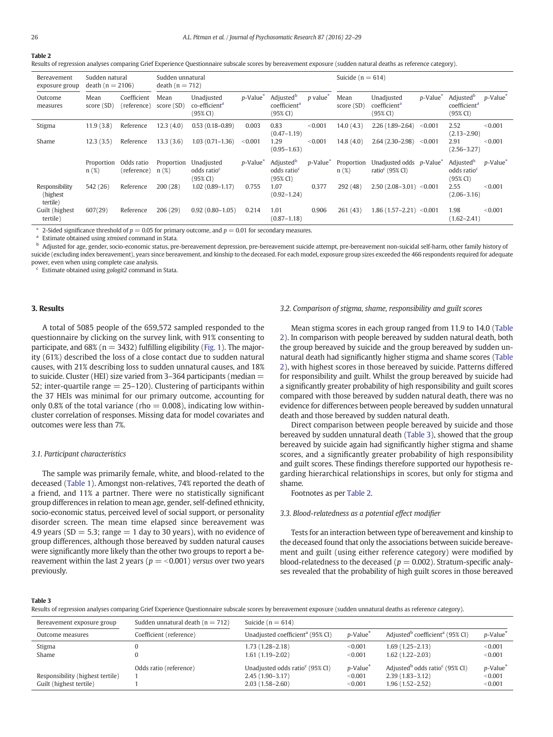Table 2

Results of regression analyses comparing Grief Experience Questionnaire subscale scores by bereavement exposure (sudden natural deaths as reference category).

| Bereavement<br>exposure group           | Sudden natural<br>death ( $n = 2106$ ) |                            | Sudden unnatural<br>death $(n = 712)$ |                                                                |                              | Suicide ( $n = 614$ )                                         |                              |                    |                                                            |                              |                                                               |                              |
|-----------------------------------------|----------------------------------------|----------------------------|---------------------------------------|----------------------------------------------------------------|------------------------------|---------------------------------------------------------------|------------------------------|--------------------|------------------------------------------------------------|------------------------------|---------------------------------------------------------------|------------------------------|
| Outcome<br>measures                     | Mean<br>score (SD)                     | Coefficient<br>(reference) | Mean<br>score (SD)                    | Unadjusted<br>co-efficient <sup>a</sup><br>$(95\% \text{ CI})$ | <i>p</i> -Value <sup>*</sup> | Adjusted <sup>b</sup><br>coefficient <sup>a</sup><br>(95% CI) | <i>p</i> value <sup>*</sup>  | Mean<br>score (SD) | Unadjusted<br>coefficient <sup>a</sup><br>(95% CI)         | <i>p</i> -Value <sup>*</sup> | Adjusted <sup>b</sup><br>coefficient <sup>a</sup><br>(95% CI) | <i>p</i> -Value <sup>*</sup> |
| Stigma                                  | 11.9(3.8)                              | Reference                  | 12.3(4.0)                             | $0.53(0.18 - 0.89)$                                            | 0.003                        | 0.83<br>$(0.47 - 1.19)$                                       | < 0.001                      | 14.0(4.3)          | $2.26(1.89 - 2.64)$                                        | < 0.001                      | 2.52<br>$(2.13 - 2.90)$                                       | < 0.001                      |
| Shame                                   | 12.3(3.5)                              | Reference                  | 13.3(3.6)                             | $1.03(0.71 - 1.36)$                                            | < 0.001                      | 1.29<br>$(0.95 - 1.63)$                                       | < 0.001                      | 14.8(4.0)          | $2.64(2.30-2.98)$                                          | < 0.001                      | 2.91<br>$(2.56 - 3.27)$                                       | < 0.001                      |
|                                         | Proportion<br>$n(\%)$                  | Odds ratio<br>(reference)  | Proportion<br>n(%)                    | Unadiusted<br>odds ratio <sup>c</sup><br>(95% CI)              | <i>p</i> -Value <sup>*</sup> | Adjusted <sup>b</sup><br>odds ratio <sup>c</sup><br>(95% CI)  | <i>p</i> -Value <sup>*</sup> | Proportion<br>n(%) | Unadiusted odds p-Value <sup>*</sup><br>ratio $c$ (95% CI) |                              | Adjusted <sup>b</sup><br>odds ratio <sup>c</sup><br>(95% CI)  | <i>p</i> -Value <sup>*</sup> |
| Responsibility<br>(highest)<br>tertile) | 542 (26)                               | Reference                  | 200(28)                               | $1.02(0.89 - 1.17)$                                            | 0.755                        | 1.07<br>$(0.92 - 1.24)$                                       | 0.377                        | 292 (48)           | $2.50(2.08-3.01) < 0.001$                                  |                              | 2.55<br>$(2.06 - 3.16)$                                       | < 0.001                      |
| Guilt (highest)<br>tertile)             | 607(29)                                | Reference                  | 206(29)                               | $0.92(0.80 - 1.05)$                                            | 0.214                        | 1.01<br>$(0.87 - 1.18)$                                       | 0.906                        | 261(43)            | $1.86(1.57-2.21) < 0.001$                                  |                              | 1.98<br>$(1.62 - 2.41)$                                       | < 0.001                      |

\* 2-Sided significance threshold of  $p = 0.05$  for primary outcome, and  $p = 0.01$  for secondary measures.

<sup>a</sup> Estimate obtained using xtmixed command in Stata.

<sup>b</sup> Adjusted for age, gender, socio-economic status, pre-bereavement depression, pre-bereavement suicide attempt, pre-bereavement non-suicidal self-harm, other family history of suicide (excluding index bereavement), years since bereavement, and kinship to the deceased. For each model, exposure group sizes exceeded the 466 respondents required for adequate power, even when using complete case analysis.

Estimate obtained using gologit2 command in Stata.

#### 3. Results

A total of 5085 people of the 659,572 sampled responded to the questionnaire by clicking on the survey link, with 91% consenting to participate, and  $68\%$  (n = 3432) fulfilling eligibility [\(Fig. 1](#page-2-0)). The majority (61%) described the loss of a close contact due to sudden natural causes, with 21% describing loss to sudden unnatural causes, and 18% to suicide. Cluster (HEI) size varied from  $3-364$  participants (median  $=$ 52; inter-quartile range  $= 25 - 120$ ). Clustering of participants within the 37 HEIs was minimal for our primary outcome, accounting for only 0.8% of the total variance (rho  $= 0.008$ ), indicating low withincluster correlation of responses. Missing data for model covariates and outcomes were less than 7%.

#### 3.1. Participant characteristics

The sample was primarily female, white, and blood-related to the deceased [\(Table 1](#page-3-0)). Amongst non-relatives, 74% reported the death of a friend, and 11% a partner. There were no statistically significant group differences in relation to mean age, gender, self-defined ethnicity, socio-economic status, perceived level of social support, or personality disorder screen. The mean time elapsed since bereavement was 4.9 years (SD  $=$  5.3; range  $=$  1 day to 30 years), with no evidence of group differences, although those bereaved by sudden natural causes were significantly more likely than the other two groups to report a bereavement within the last 2 years ( $p = < 0.001$ ) versus over two years previously.

#### 3.2. Comparison of stigma, shame, responsibility and guilt scores

Mean stigma scores in each group ranged from 11.9 to 14.0 (Table 2). In comparison with people bereaved by sudden natural death, both the group bereaved by suicide and the group bereaved by sudden unnatural death had significantly higher stigma and shame scores (Table 2), with highest scores in those bereaved by suicide. Patterns differed for responsibility and guilt. Whilst the group bereaved by suicide had a significantly greater probability of high responsibility and guilt scores compared with those bereaved by sudden natural death, there was no evidence for differences between people bereaved by sudden unnatural death and those bereaved by sudden natural death.

Direct comparison between people bereaved by suicide and those bereaved by sudden unnatural death (Table 3), showed that the group bereaved by suicide again had significantly higher stigma and shame scores, and a significantly greater probability of high responsibility and guilt scores. These findings therefore supported our hypothesis regarding hierarchical relationships in scores, but only for stigma and shame.

Footnotes as per Table 2.

#### 3.3. Blood-relatedness as a potential effect modifier

Tests for an interaction between type of bereavement and kinship to the deceased found that only the associations between suicide bereavement and guilt (using either reference category) were modified by blood-relatedness to the deceased ( $p = 0.002$ ). Stratum-specific analyses revealed that the probability of high guilt scores in those bereaved

#### Table 3

Results of regression analyses comparing Grief Experience Questionnaire subscale scores by bereavement exposure (sudden unnatural deaths as reference category).

| Bereavement exposure group       | Sudden unnatural death ( $n = 712$ ) | Suicide ( $n = 614$ )                        |                              |                                                         |                              |
|----------------------------------|--------------------------------------|----------------------------------------------|------------------------------|---------------------------------------------------------|------------------------------|
| Outcome measures                 | Coefficient (reference)              | Unadjusted coefficient <sup>a</sup> (95% CI) | <i>p</i> -Value <sup>1</sup> | Adjusted <sup>b</sup> coefficient <sup>a</sup> (95% CI) | <i>p</i> -Value <sup>*</sup> |
| Stigma                           |                                      | $1.73(1.28 - 2.18)$                          | < 0.001                      | $1.69(1.25 - 2.13)$                                     | < 0.001                      |
| Shame                            |                                      | $1.61(1.19-2.02)$                            | < 0.001                      | $1.62(1.22 - 2.03)$                                     | < 0.001                      |
|                                  | Odds ratio (reference)               | Unadjusted odds ratio <sup>c</sup> (95% CI)  | <i>p</i> -Value <sup>*</sup> | Adjusted <sup>b</sup> odds ratio <sup>c</sup> (95% CI)  | <i>p</i> -Value <sup>*</sup> |
| Responsibility (highest tertile) |                                      | $2.45(1.90-3.17)$                            | < 0.001                      | $2.39(1.83 - 3.12)$                                     | < 0.001                      |
| Guilt (highest tertile)          |                                      | $2.03(1.58 - 2.60)$                          | < 0.001                      | $1.96(1.52 - 2.52)$                                     | < 0.001                      |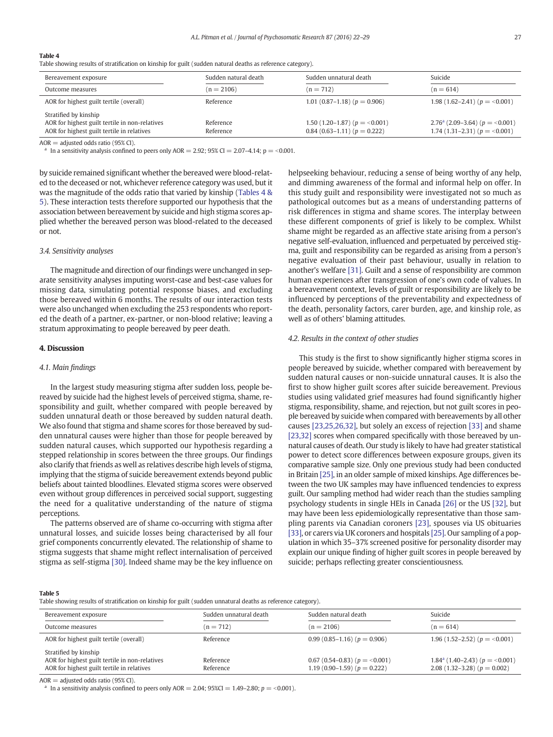#### Table 4

Table showing results of stratification on kinship for guilt (sudden natural deaths as reference category).

| Bereavement exposure                                                                                                  | Sudden natural death   | Sudden unnatural death                                          | Suicide                                                                              |  |
|-----------------------------------------------------------------------------------------------------------------------|------------------------|-----------------------------------------------------------------|--------------------------------------------------------------------------------------|--|
| Outcome measures                                                                                                      | $(n = 2106)$           | $(n = 712)$                                                     | $(n = 614)$                                                                          |  |
| AOR for highest guilt tertile (overall)                                                                               | Reference              | 1.01 $(0.87-1.18)$ $(p = 0.906)$                                | 1.98 $(1.62 - 2.41)$ $(p = < 0.001)$                                                 |  |
| Stratified by kinship<br>AOR for highest guilt tertile in non-relatives<br>AOR for highest guilt tertile in relatives | Reference<br>Reference | 1.50 $(1.20-1.87)$ $(p = <0.001)$<br>$0.84(0.63-1.11)(p=0.222)$ | 2.76 <sup>a</sup> (2.09–3.64) ( $p = < 0.001$ )<br>1.74 $(1.31-2.31)$ $(p = <0.001)$ |  |

 $AOR =$  adjusted odds ratio (95% CI).

In a sensitivity analysis confined to peers only  $AOR = 2.92$ ; 95% CI = 2.07-4.14; p = <0.001.

by suicide remained significant whether the bereaved were blood-related to the deceased or not, whichever reference category was used, but it was the magnitude of the odds ratio that varied by kinship (Tables 4 & 5). These interaction tests therefore supported our hypothesis that the association between bereavement by suicide and high stigma scores applied whether the bereaved person was blood-related to the deceased or not.

#### 3.4. Sensitivity analyses

The magnitude and direction of our findings were unchanged in separate sensitivity analyses imputing worst-case and best-case values for missing data, simulating potential response biases, and excluding those bereaved within 6 months. The results of our interaction tests were also unchanged when excluding the 253 respondents who reported the death of a partner, ex-partner, or non-blood relative; leaving a stratum approximating to people bereaved by peer death.

#### 4. Discussion

#### 4.1. Main findings

In the largest study measuring stigma after sudden loss, people bereaved by suicide had the highest levels of perceived stigma, shame, responsibility and guilt, whether compared with people bereaved by sudden unnatural death or those bereaved by sudden natural death. We also found that stigma and shame scores for those bereaved by sudden unnatural causes were higher than those for people bereaved by sudden natural causes, which supported our hypothesis regarding a stepped relationship in scores between the three groups. Our findings also clarify that friends as well as relatives describe high levels of stigma, implying that the stigma of suicide bereavement extends beyond public beliefs about tainted bloodlines. Elevated stigma scores were observed even without group differences in perceived social support, suggesting the need for a qualitative understanding of the nature of stigma perceptions.

The patterns observed are of shame co-occurring with stigma after unnatural losses, and suicide losses being characterised by all four grief components concurrently elevated. The relationship of shame to stigma suggests that shame might reflect internalisation of perceived stigma as self-stigma [\[30\].](#page-7-0) Indeed shame may be the key influence on helpseeking behaviour, reducing a sense of being worthy of any help, and dimming awareness of the formal and informal help on offer. In this study guilt and responsibility were investigated not so much as pathological outcomes but as a means of understanding patterns of risk differences in stigma and shame scores. The interplay between these different components of grief is likely to be complex. Whilst shame might be regarded as an affective state arising from a person's negative self-evaluation, influenced and perpetuated by perceived stigma, guilt and responsibility can be regarded as arising from a person's negative evaluation of their past behaviour, usually in relation to another's welfare [\[31\]](#page-7-0). Guilt and a sense of responsibility are common human experiences after transgression of one's own code of values. In a bereavement context, levels of guilt or responsibility are likely to be influenced by perceptions of the preventability and expectedness of the death, personality factors, carer burden, age, and kinship role, as well as of others' blaming attitudes.

#### 4.2. Results in the context of other studies

This study is the first to show significantly higher stigma scores in people bereaved by suicide, whether compared with bereavement by sudden natural causes or non-suicide unnatural causes. It is also the first to show higher guilt scores after suicide bereavement. Previous studies using validated grief measures had found significantly higher stigma, responsibility, shame, and rejection, but not guilt scores in people bereaved by suicide when compared with bereavements by all other causes [\[23,25,26,32\],](#page-7-0) but solely an excess of rejection [\[33\]](#page-7-0) and shame [\[23,32\]](#page-7-0) scores when compared specifically with those bereaved by unnatural causes of death. Our study is likely to have had greater statistical power to detect score differences between exposure groups, given its comparative sample size. Only one previous study had been conducted in Britain [\[25\],](#page-7-0) in an older sample of mixed kinships. Age differences between the two UK samples may have influenced tendencies to express guilt. Our sampling method had wider reach than the studies sampling psychology students in single HEIs in Canada [\[26\]](#page-7-0) or the US [\[32\]](#page-7-0), but may have been less epidemiologically representative than those sampling parents via Canadian coroners [\[23\]](#page-7-0), spouses via US obituaries [\[33\],](#page-7-0) or carers via UK coroners and hospitals [\[25\].](#page-7-0) Our sampling of a population in which 35–37% screened positive for personality disorder may explain our unique finding of higher guilt scores in people bereaved by suicide; perhaps reflecting greater conscientiousness.

#### Table 5

Table showing results of stratification on kinship for guilt (sudden unnatural deaths as reference category).

| Bereavement exposure                                                                                                  | Sudden unnatural death | Sudden natural death                                                   | Suicide                                                                  |  |
|-----------------------------------------------------------------------------------------------------------------------|------------------------|------------------------------------------------------------------------|--------------------------------------------------------------------------|--|
| Outcome measures                                                                                                      | $(n = 712)$            | $(n = 2106)$                                                           | $(n = 614)$                                                              |  |
| AOR for highest guilt tertile (overall)                                                                               | Reference              | $0.99(0.85-1.16)(p=0.906)$                                             | 1.96 $(1.52 - 2.52)$ $(p = <0.001)$                                      |  |
| Stratified by kinship<br>AOR for highest guilt tertile in non-relatives<br>AOR for highest guilt tertile in relatives | Reference<br>Reference | $0.67$ (0.54–0.83) ( $p = 0.001$ )<br>1.19 $(0.90-1.59)$ $(p = 0.222)$ | $1.84a$ (1.40–2.43) ( $p = <0.001$ )<br>2.08 (1.32–3.28) ( $p = 0.002$ ) |  |

 $AOR =$  adjusted odds ratio (95% CI).

In a sensitivity analysis confined to peers only  $AOR = 2.04$ ;  $95\%CI = 1.49 - 2.80$ ;  $p = <0.001$ ).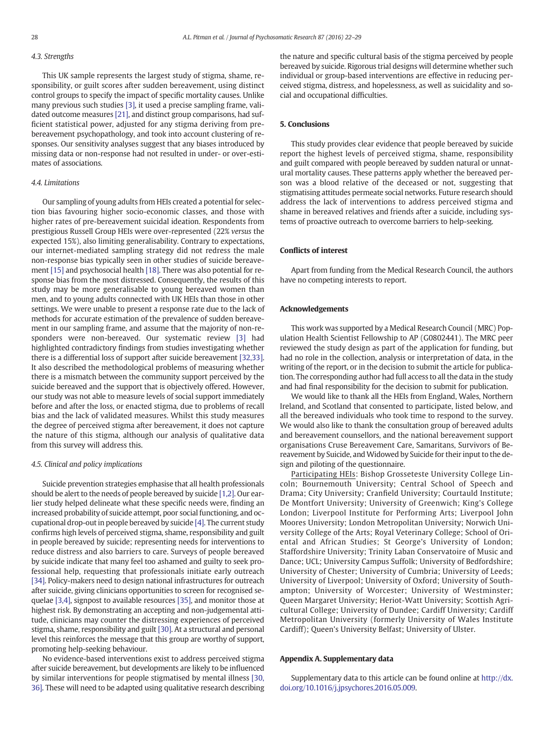### 4.3. Strengths

This UK sample represents the largest study of stigma, shame, responsibility, or guilt scores after sudden bereavement, using distinct control groups to specify the impact of specific mortality causes. Unlike many previous such studies [\[3\]](#page-7-0), it used a precise sampling frame, validated outcome measures [\[21\]](#page-7-0), and distinct group comparisons, had sufficient statistical power, adjusted for any stigma deriving from prebereavement psychopathology, and took into account clustering of responses. Our sensitivity analyses suggest that any biases introduced by missing data or non-response had not resulted in under- or over-estimates of associations.

#### 4.4. Limitations

Our sampling of young adults from HEIs created a potential for selection bias favouring higher socio-economic classes, and those with higher rates of pre-bereavement suicidal ideation. Respondents from prestigious Russell Group HEIs were over-represented (22% versus the expected 15%), also limiting generalisability. Contrary to expectations, our internet-mediated sampling strategy did not redress the male non-response bias typically seen in other studies of suicide bereavement [\[15\]](#page-7-0) and psychosocial health [\[18\]](#page-7-0). There was also potential for response bias from the most distressed. Consequently, the results of this study may be more generalisable to young bereaved women than men, and to young adults connected with UK HEIs than those in other settings. We were unable to present a response rate due to the lack of methods for accurate estimation of the prevalence of sudden bereavement in our sampling frame, and assume that the majority of non-responders were non-bereaved. Our systematic review [\[3\]](#page-7-0) had highlighted contradictory findings from studies investigating whether there is a differential loss of support after suicide bereavement [\[32,33\].](#page-7-0) It also described the methodological problems of measuring whether there is a mismatch between the community support perceived by the suicide bereaved and the support that is objectively offered. However, our study was not able to measure levels of social support immediately before and after the loss, or enacted stigma, due to problems of recall bias and the lack of validated measures. Whilst this study measures the degree of perceived stigma after bereavement, it does not capture the nature of this stigma, although our analysis of qualitative data from this survey will address this.

#### 4.5. Clinical and policy implications

Suicide prevention strategies emphasise that all health professionals should be alert to the needs of people bereaved by suicide [\[1,2\]](#page-7-0). Our earlier study helped delineate what these specific needs were, finding an increased probability of suicide attempt, poor social functioning, and occupational drop-out in people bereaved by suicide [\[4\].](#page-7-0) The current study confirms high levels of perceived stigma, shame, responsibility and guilt in people bereaved by suicide; representing needs for interventions to reduce distress and also barriers to care. Surveys of people bereaved by suicide indicate that many feel too ashamed and guilty to seek professional help, requesting that professionals initiate early outreach [\[34\]](#page-7-0). Policy-makers need to design national infrastructures for outreach after suicide, giving clinicians opportunities to screen for recognised sequelae [\[3,4\],](#page-7-0) signpost to available resources [\[35\],](#page-7-0) and monitor those at highest risk. By demonstrating an accepting and non-judgemental attitude, clinicians may counter the distressing experiences of perceived stigma, shame, responsibility and guilt [\[30\]](#page-7-0). At a structural and personal level this reinforces the message that this group are worthy of support, promoting help-seeking behaviour.

No evidence-based interventions exist to address perceived stigma after suicide bereavement, but developments are likely to be influenced by similar interventions for people stigmatised by mental illness [\[30,](#page-7-0) [36\]](#page-7-0). These will need to be adapted using qualitative research describing the nature and specific cultural basis of the stigma perceived by people bereaved by suicide. Rigorous trial designs will determine whether such individual or group-based interventions are effective in reducing perceived stigma, distress, and hopelessness, as well as suicidality and social and occupational difficulties.

#### 5. Conclusions

This study provides clear evidence that people bereaved by suicide report the highest levels of perceived stigma, shame, responsibility and guilt compared with people bereaved by sudden natural or unnatural mortality causes. These patterns apply whether the bereaved person was a blood relative of the deceased or not, suggesting that stigmatising attitudes permeate social networks. Future research should address the lack of interventions to address perceived stigma and shame in bereaved relatives and friends after a suicide, including systems of proactive outreach to overcome barriers to help-seeking.

#### Conflicts of interest

Apart from funding from the Medical Research Council, the authors have no competing interests to report.

#### Acknowledgements

This work was supported by a Medical Research Council (MRC) Population Health Scientist Fellowship to AP (G0802441). The MRC peer reviewed the study design as part of the application for funding, but had no role in the collection, analysis or interpretation of data, in the writing of the report, or in the decision to submit the article for publication. The corresponding author had full access to all the data in the study and had final responsibility for the decision to submit for publication.

We would like to thank all the HEIs from England, Wales, Northern Ireland, and Scotland that consented to participate, listed below, and all the bereaved individuals who took time to respond to the survey. We would also like to thank the consultation group of bereaved adults and bereavement counsellors, and the national bereavement support organisations Cruse Bereavement Care, Samaritans, Survivors of Bereavement by Suicide, and Widowed by Suicide for their input to the design and piloting of the questionnaire.

Participating HEIs: Bishop Grosseteste University College Lincoln; Bournemouth University; Central School of Speech and Drama; City University; Cranfield University; Courtauld Institute; De Montfort University; University of Greenwich; King's College London; Liverpool Institute for Performing Arts; Liverpool John Moores University; London Metropolitan University; Norwich University College of the Arts; Royal Veterinary College; School of Oriental and African Studies; St George's University of London; Staffordshire University; Trinity Laban Conservatoire of Music and Dance; UCL; University Campus Suffolk; University of Bedfordshire; University of Chester; University of Cumbria; University of Leeds; University of Liverpool; University of Oxford; University of Southampton; University of Worcester; University of Westminster; Queen Margaret University; Heriot-Watt University; Scottish Agricultural College; University of Dundee; Cardiff University; Cardiff Metropolitan University (formerly University of Wales Institute Cardiff); Queen's University Belfast; University of Ulster.

#### Appendix A. Supplementary data

Supplementary data to this article can be found online at [http://dx.](doi:10.1016/j.jpsychores.2016.05.009) [doi.org/10.1016/j.jpsychores.2016.05.009](doi:10.1016/j.jpsychores.2016.05.009).